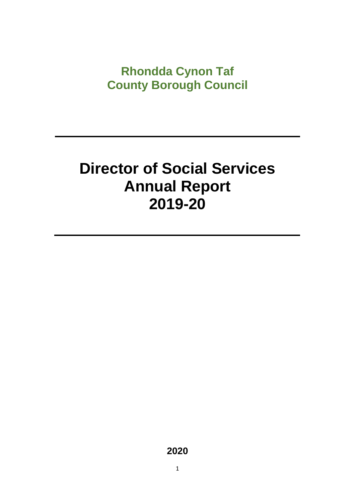# **Rhondda Cynon Taf County Borough Council**

# **Director of Social Services Annual Report 2019-20**

**2020**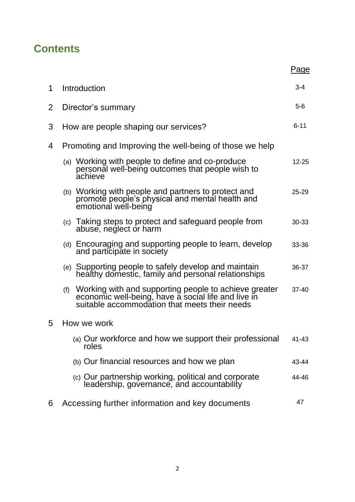# **Contents**

|                |                                                                                                                                                                      | Page      |
|----------------|----------------------------------------------------------------------------------------------------------------------------------------------------------------------|-----------|
| 1              | Introduction                                                                                                                                                         | $3 - 4$   |
| $\overline{2}$ | Director's summary                                                                                                                                                   | $5-6$     |
| 3              | How are people shaping our services?                                                                                                                                 | $6 - 11$  |
| 4              | Promoting and Improving the well-being of those we help                                                                                                              |           |
|                | (a) Working with people to define and co-produce<br>personal well-being outcomes that people wish to<br>achieve                                                      | $12 - 25$ |
|                | (b) Working with people and partners to protect and<br>promote people's physical and mental health and<br>emotional well-being                                       | $25 - 29$ |
|                | (c) Taking steps to protect and safeguard people from<br>abuse, neglect or harm                                                                                      | 30-33     |
|                | (d) Encouraging and supporting people to learn, develop<br>and participate in society                                                                                | 33-36     |
|                | Supporting people to safely develop and maintain<br>healthy domestic, family and personal relationships<br>(e)                                                       | 36-37     |
|                | Working with and supporting people to achieve greater<br>economic well-being, have a social life and live in<br>(f)<br>suitable accommodation that meets their needs | $37 - 40$ |
| 5              | How we work                                                                                                                                                          |           |
|                | (a) Our workforce and how we support their professional<br>roles                                                                                                     | 41-43     |
|                | (b) Our financial resources and how we plan                                                                                                                          | 43-44     |
|                | (c) Our partnership working, political and corporate<br>leadership, governance, and accountability                                                                   | 44-46     |
| 6              | Accessing further information and key documents                                                                                                                      | 47        |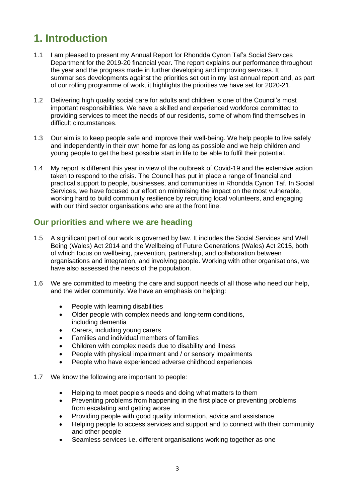# **1. Introduction**

- 1.1 I am pleased to present my Annual Report for Rhondda Cynon Taf's Social Services Department for the 2019-20 financial year. The report explains our performance throughout the year and the progress made in further developing and improving services. It summarises developments against the priorities set out in my last annual report and, as part of our rolling programme of work, it highlights the priorities we have set for 2020-21.
- 1.2 Delivering high quality social care for adults and children is one of the Council's most important responsibilities. We have a skilled and experienced workforce committed to providing services to meet the needs of our residents, some of whom find themselves in difficult circumstances.
- 1.3 Our aim is to keep people safe and improve their well-being. We help people to live safely and independently in their own home for as long as possible and we help children and young people to get the best possible start in life to be able to fulfil their potential.
- 1.4 My report is different this year in view of the outbreak of Covid-19 and the extensive action taken to respond to the crisis. The Council has put in place a range of financial and practical support to people, businesses, and communities in Rhondda Cynon Taf. In Social Services, we have focused our effort on minimising the impact on the most vulnerable, working hard to build community resilience by recruiting local volunteers, and engaging with our third sector organisations who are at the front line.

# **Our priorities and where we are heading**

- 1.5 A significant part of our work is governed by law. It includes the Social Services and Well Being (Wales) Act 2014 and the Wellbeing of Future Generations (Wales) Act 2015, both of which focus on wellbeing, prevention, partnership, and collaboration between organisations and integration, and involving people. Working with other organisations, we have also assessed the needs of the population.
- 1.6 We are committed to meeting the care and support needs of all those who need our help, and the wider community. We have an emphasis on helping:
	- People with learning disabilities
	- Older people with complex needs and long-term conditions, including dementia
	- Carers, including young carers
	- Families and individual members of families
	- Children with complex needs due to disability and illness
	- People with physical impairment and / or sensory impairments
	- People who have experienced adverse childhood experiences
- 1.7 We know the following are important to people:
	- Helping to meet people's needs and doing what matters to them
	- Preventing problems from happening in the first place or preventing problems from escalating and getting worse
	- Providing people with good quality information, advice and assistance
	- Helping people to access services and support and to connect with their community and other people
	- Seamless services i.e. different organisations working together as one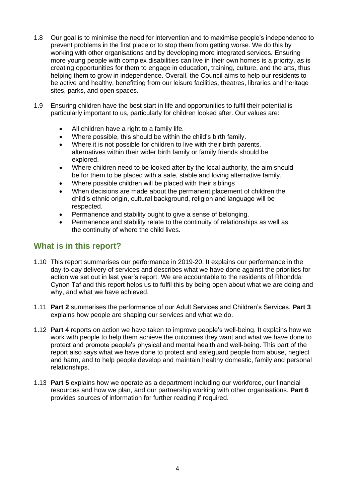- 1.8 Our goal is to minimise the need for intervention and to maximise people's independence to prevent problems in the first place or to stop them from getting worse. We do this by working with other organisations and by developing more integrated services. Ensuring more young people with complex disabilities can live in their own homes is a priority, as is creating opportunities for them to engage in education, training, culture, and the arts, thus helping them to grow in independence. Overall, the Council aims to help our residents to be active and healthy, benefitting from our leisure facilities, theatres, libraries and heritage sites, parks, and open spaces.
- 1.9 Ensuring children have the best start in life and opportunities to fulfil their potential is particularly important to us, particularly for children looked after. Our values are:
	- All children have a right to a family life.
	- Where possible, this should be within the child's birth family.
	- Where it is not possible for children to live with their birth parents, alternatives within their wider birth family or family friends should be explored.
	- Where children need to be looked after by the local authority, the aim should be for them to be placed with a safe, stable and loving alternative family.
	- Where possible children will be placed with their siblings
	- When decisions are made about the permanent placement of children the child's ethnic origin, cultural background, religion and language will be respected.
	- Permanence and stability ought to give a sense of belonging.
	- Permanence and stability relate to the continuity of relationships as well as the continuity of where the child lives.

# **What is in this report?**

- 1.10 This report summarises our performance in 2019-20. It explains our performance in the day-to-day delivery of services and describes what we have done against the priorities for action we set out in last year's report. We are accountable to the residents of Rhondda Cynon Taf and this report helps us to fulfil this by being open about what we are doing and why, and what we have achieved.
- 1.11 **Part 2** summarises the performance of our Adult Services and Children's Services. **Part 3** explains how people are shaping our services and what we do.
- 1.12 **Part 4** reports on action we have taken to improve people's well-being. It explains how we work with people to help them achieve the outcomes they want and what we have done to protect and promote people's physical and mental health and well-being. This part of the report also says what we have done to protect and safeguard people from abuse, neglect and harm, and to help people develop and maintain healthy domestic, family and personal relationships.
- 1.13 **Part 5** explains how we operate as a department including our workforce, our financial resources and how we plan, and our partnership working with other organisations. **Part 6** provides sources of information for further reading if required.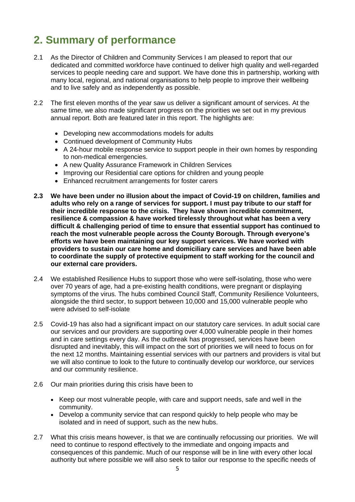# **2. Summary of performance**

- 2.1 As the Director of Children and Community Services I am pleased to report that our dedicated and committed workforce have continued to deliver high quality and well-regarded services to people needing care and support. We have done this in partnership, working with many local, regional, and national organisations to help people to improve their wellbeing and to live safely and as independently as possible.
- 2.2 The first eleven months of the year saw us deliver a significant amount of services. At the same time, we also made significant progress on the priorities we set out in my previous annual report. Both are featured later in this report. The highlights are:
	- Developing new accommodations models for adults
	- Continued development of Community Hubs
	- A 24-hour mobile response service to support people in their own homes by responding to non-medical emergencies.
	- A new Quality Assurance Framework in Children Services
	- Improving our Residential care options for children and young people
	- Enhanced recruitment arrangements for foster carers
- **2.3 We have been under no illusion about the impact of Covid-19 on children, families and adults who rely on a range of services for support. I must pay tribute to our staff for their incredible response to the crisis. They have shown incredible commitment, resilience & compassion & have worked tirelessly throughout what has been a very difficult & challenging period of time to ensure that essential support has continued to reach the most vulnerable people across the County Borough. Through everyone's efforts we have been maintaining our key support services. We have worked with providers to sustain our care home and domiciliary care services and have been able to coordinate the supply of protective equipment to staff working for the council and our external care providers.**
- 2.4 We established Resilience Hubs to support those who were self-isolating, those who were over 70 years of age, had a pre-existing health conditions, were pregnant or displaying symptoms of the virus. The hubs combined Council Staff, Community Resilience Volunteers, alongside the third sector, to support between 10,000 and 15,000 vulnerable people who were advised to self-isolate
- 2.5 Covid-19 has also had a significant impact on our statutory care services. In adult social care our services and our providers are supporting over 4,000 vulnerable people in their homes and in care settings every day. As the outbreak has progressed, services have been disrupted and inevitably, this will impact on the sort of priorities we will need to focus on for the next 12 months. Maintaining essential services with our partners and providers is vital but we will also continue to look to the future to continually develop our workforce, our services and our community resilience.
- 2.6 Our main priorities during this crisis have been to
	- Keep our most vulnerable people, with care and support needs, safe and well in the community.
	- Develop a community service that can respond quickly to help people who may be isolated and in need of support, such as the new hubs.
- 2.7 What this crisis means however, is that we are continually refocussing our priorities. We will need to continue to respond effectively to the immediate and ongoing impacts and consequences of this pandemic. Much of our response will be in line with every other local authority but where possible we will also seek to tailor our response to the specific needs of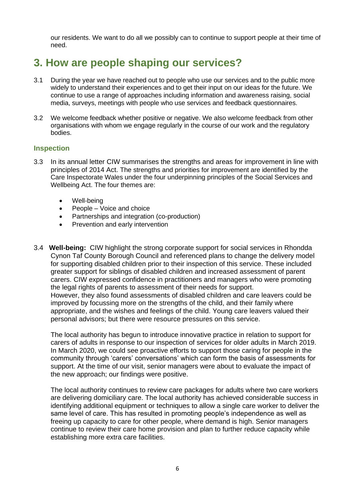our residents. We want to do all we possibly can to continue to support people at their time of need.

# **3. How are people shaping our services?**

- 3.1 During the year we have reached out to people who use our services and to the public more widely to understand their experiences and to get their input on our ideas for the future. We continue to use a range of approaches including information and awareness raising, social media, surveys, meetings with people who use services and feedback questionnaires.
- 3.2 We welcome feedback whether positive or negative. We also welcome feedback from other organisations with whom we engage regularly in the course of our work and the regulatory bodies.

#### **Inspection**

- 3.3 In its annual letter CIW summarises the strengths and areas for improvement in line with principles of 2014 Act. The strengths and priorities for improvement are identified by the Care Inspectorate Wales under the four underpinning principles of the Social Services and Wellbeing Act. The four themes are:
	- Well-being
	- People Voice and choice
	- Partnerships and integration (co-production)
	- Prevention and early intervention
- 3.4 **Well-being:** CIW highlight the strong corporate support for social services in Rhondda Cynon Taf County Borough Council and referenced plans to change the delivery model for supporting disabled children prior to their inspection of this service. These included greater support for siblings of disabled children and increased assessment of parent carers. CIW expressed confidence in practitioners and managers who were promoting the legal rights of parents to assessment of their needs for support. However, they also found assessments of disabled children and care leavers could be improved by focussing more on the strengths of the child, and their family where appropriate, and the wishes and feelings of the child. Young care leavers valued their personal advisors; but there were resource pressures on this service.

The local authority has begun to introduce innovative practice in relation to support for carers of adults in response to our inspection of services for older adults in March 2019. In March 2020, we could see proactive efforts to support those caring for people in the community through 'carers' conversations' which can form the basis of assessments for support. At the time of our visit, senior managers were about to evaluate the impact of the new approach; our findings were positive.

The local authority continues to review care packages for adults where two care workers are delivering domiciliary care. The local authority has achieved considerable success in identifying additional equipment or techniques to allow a single care worker to deliver the same level of care. This has resulted in promoting people's independence as well as freeing up capacity to care for other people, where demand is high. Senior managers continue to review their care home provision and plan to further reduce capacity while establishing more extra care facilities.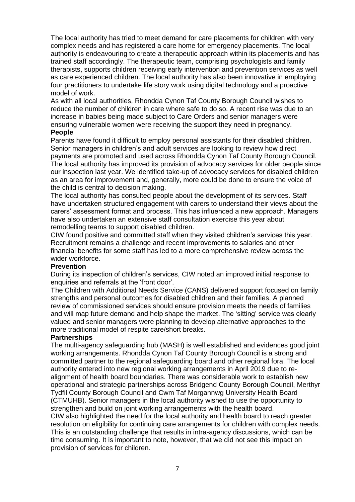The local authority has tried to meet demand for care placements for children with very complex needs and has registered a care home for emergency placements. The local authority is endeavouring to create a therapeutic approach within its placements and has trained staff accordingly. The therapeutic team, comprising psychologists and family therapists, supports children receiving early intervention and prevention services as well as care experienced children. The local authority has also been innovative in employing four practitioners to undertake life story work using digital technology and a proactive model of work.

As with all local authorities, Rhondda Cynon Taf County Borough Council wishes to reduce the number of children in care where safe to do so. A recent rise was due to an increase in babies being made subject to Care Orders and senior managers were ensuring vulnerable women were receiving the support they need in pregnancy.

#### **People**

Parents have found it difficult to employ personal assistants for their disabled children. Senior managers in children's and adult services are looking to review how direct payments are promoted and used across Rhondda Cynon Taf County Borough Council. The local authority has improved its provision of advocacy services for older people since our inspection last year. We identified take-up of advocacy services for disabled children as an area for improvement and, generally, more could be done to ensure the voice of the child is central to decision making.

The local authority has consulted people about the development of its services. Staff have undertaken structured engagement with carers to understand their views about the carers' assessment format and process. This has influenced a new approach. Managers have also undertaken an extensive staff consultation exercise this year about remodelling teams to support disabled children.

CIW found positive and committed staff when they visited children's services this year. Recruitment remains a challenge and recent improvements to salaries and other financial benefits for some staff has led to a more comprehensive review across the wider workforce.

#### **Prevention**

During its inspection of children's services, CIW noted an improved initial response to enquiries and referrals at the 'front door'.

The Children with Additional Needs Service (CANS) delivered support focused on family strengths and personal outcomes for disabled children and their families. A planned review of commissioned services should ensure provision meets the needs of families and will map future demand and help shape the market. The 'sitting' service was clearly valued and senior managers were planning to develop alternative approaches to the more traditional model of respite care/short breaks.

#### **Partnerships**

The multi-agency safeguarding hub (MASH) is well established and evidences good joint working arrangements. Rhondda Cynon Taf County Borough Council is a strong and committed partner to the regional safeguarding board and other regional fora. The local authority entered into new regional working arrangements in April 2019 due to realignment of health board boundaries. There was considerable work to establish new operational and strategic partnerships across Bridgend County Borough Council, Merthyr Tydfil County Borough Council and Cwm Taf Morgannwg University Health Board (CTMUHB). Senior managers in the local authority wished to use the opportunity to strengthen and build on joint working arrangements with the health board.

CIW also highlighted the need for the local authority and health board to reach greater resolution on eligibility for continuing care arrangements for children with complex needs. This is an outstanding challenge that results in intra-agency discussions, which can be time consuming. It is important to note, however, that we did not see this impact on provision of services for children.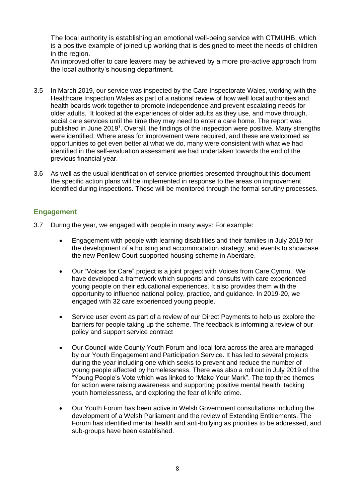The local authority is establishing an emotional well-being service with CTMUHB, which is a positive example of joined up working that is designed to meet the needs of children in the region.

An improved offer to care leavers may be achieved by a more pro-active approach from the local authority's housing department.

- 3.5 In March 2019, our service was inspected by the Care Inspectorate Wales, working with the Healthcare Inspection Wales as part of a national review of how well local authorities and health boards work together to promote independence and prevent escalating needs for older adults. It looked at the experiences of older adults as they use, and move through, social care services until the time they may need to enter a care home. The report was published in June 2019<sup>1</sup>. Overall, the findings of the inspection were positive. Many strengths were identified. Where areas for improvement were required, and these are welcomed as opportunities to get even better at what we do, many were consistent with what we had identified in the self-evaluation assessment we had undertaken towards the end of the previous financial year.
- 3.6 As well as the usual identification of service priorities presented throughout this document the specific action plans will be implemented in response to the areas on improvement identified during inspections. These will be monitored through the formal scrutiny processes.

## **Engagement**

- 3.7 During the year, we engaged with people in many ways: For example:
	- Engagement with people with learning disabilities and their families in July 2019 for the development of a housing and accommodation strategy, and events to showcase the new Penllew Court supported housing scheme in Aberdare.
	- Our "Voices for Care" project is a joint project with Voices from Care Cymru. We have developed a framework which supports and consults with care experienced young people on their educational experiences. It also provides them with the opportunity to influence national policy, practice, and guidance. In 2019-20, we engaged with 32 care experienced young people.
	- Service user event as part of a review of our Direct Payments to help us explore the barriers for people taking up the scheme. The feedback is informing a review of our policy and support service contract
	- Our Council-wide County Youth Forum and local fora across the area are managed by our Youth Engagement and Participation Service. It has led to several projects during the year including one which seeks to prevent and reduce the number of young people affected by homelessness. There was also a roll out in July 2019 of the "Young People's Vote which was linked to "Make Your Mark". The top three themes for action were raising awareness and supporting positive mental health, tacking youth homelessness, and exploring the fear of knife crime.
	- Our Youth Forum has been active in Welsh Government consultations including the development of a Welsh Parliament and the review of Extending Entitlements. The Forum has identified mental health and anti-bullying as priorities to be addressed, and sub-groups have been established.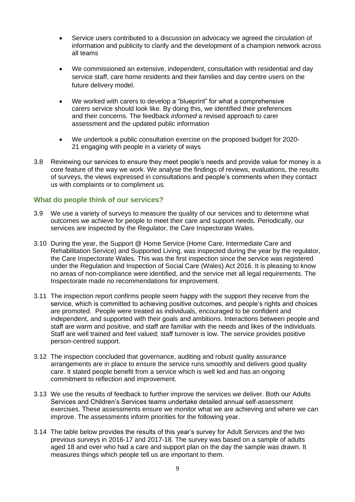- Service users contributed to a discussion on advocacy we agreed the circulation of information and publicity to clarify and the development of a champion network across all teams
- We commissioned an extensive, independent, consultation with residential and day service staff, care home residents and their families and day centre users on the future delivery model.
- We worked with carers to develop a "blueprint" for what a comprehensive carers service should look like. By doing this, we identified their preferences and their concerns. The feedback *informed* a revised approach to carer assessment and the updated public information
- We undertook a public consultation exercise on the proposed budget for 2020- 21 engaging with people in a variety of ways
- 3.8 Reviewing our services to ensure they meet people's needs and provide value for money is a core feature of the way we work. We analyse the findings of reviews, evaluations, the results of surveys, the views expressed in consultations and people's comments when they contact us with complaints or to compliment us.

#### **What do people think of our services?**

- 3.9 We use a variety of surveys to measure the quality of our services and to determine what outcomes we achieve for people to meet their care and support needs. Periodically, our services are inspected by the Regulator, the Care Inspectorate Wales.
- 3.10 During the year, the Support @ Home Service (Home Care, Intermediate Care and Rehabilitation Service) and Supported Living, was inspected during the year by the regulator, the Care Inspectorate Wales. This was the first inspection since the service was registered under the Regulation and Inspection of Social Care (Wales) Act 2016. It is pleasing to know no areas of non-compliance were identified, and the service met all legal requirements. The Inspectorate made no recommendations for improvement.
- 3.11 The inspection report confirms people seem happy with the support they receive from the service, which is committed to achieving positive outcomes, and people's rights and choices are promoted. People were treated as individuals, encouraged to be confident and independent, and supported with their goals and ambitions. Interactions between people and staff are warm and positive, and staff are familiar with the needs and likes of the individuals. Staff are well trained and feel valued; staff turnover is low. The service provides positive person-centred support.
- 3.12 The inspection concluded that governance, auditing and robust quality assurance arrangements are in place to ensure the service runs smoothly and delivers good quality care. It stated people benefit from a service which is well led and has an ongoing commitment to reflection and improvement.
- 3.13 We use the results of feedback to further improve the services we deliver. Both our Adults Services and Children's Services teams undertake detailed annual self-assessment exercises. These assessments ensure we monitor what we are achieving and where we can improve. The assessments inform priorities for the following year.
- 3.14 The table below provides the results of this year's survey for Adult Services and the two previous surveys in 2016-17 and 2017-18. The survey was based on a sample of adults aged 18 and over who had a care and support plan on the day the sample was drawn. It measures things which people tell us are important to them.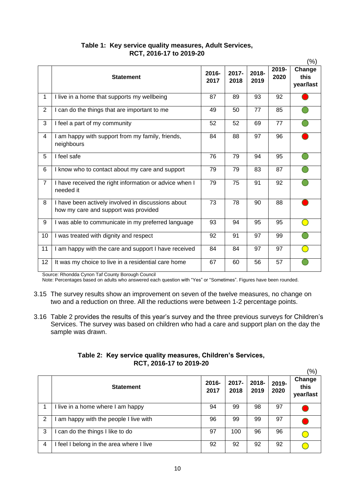|                |                                                                                            |                  |               |               |               | $(\%)$                      |
|----------------|--------------------------------------------------------------------------------------------|------------------|---------------|---------------|---------------|-----------------------------|
|                | <b>Statement</b>                                                                           | $2016 -$<br>2017 | 2017-<br>2018 | 2018-<br>2019 | 2019-<br>2020 | Change<br>this<br>year/last |
| $\mathbf 1$    | I live in a home that supports my wellbeing                                                | 87               | 89            | 93            | 92            |                             |
| $\overline{2}$ | I can do the things that are important to me                                               | 49               | 50            | 77            | 85            |                             |
| 3              | I feel a part of my community                                                              | 52               | 52            | 69            | 77            |                             |
| $\overline{4}$ | I am happy with support from my family, friends,<br>neighbours                             | 84               | 88            | 97            | 96            |                             |
| 5              | I feel safe                                                                                | 76               | 79            | 94            | 95            |                             |
| 6              | I know who to contact about my care and support                                            | 79               | 79            | 83            | 87            |                             |
| $\overline{7}$ | I have received the right information or advice when I<br>needed it                        | 79               | 75            | 91            | 92            |                             |
| 8              | I have been actively involved in discussions about<br>how my care and support was provided | 73               | 78            | 90            | 88            |                             |
| 9              | I was able to communicate in my preferred language                                         | 93               | 94            | 95            | 95            |                             |
| 10             | I was treated with dignity and respect                                                     | 92               | 91            | 97            | 99            |                             |
| 11             | I am happy with the care and support I have received                                       | 84               | 84            | 97            | 97            |                             |
| 12             | It was my choice to live in a residential care home                                        | 67               | 60            | 56            | 57            |                             |

## **Table 1: Key service quality measures, Adult Services, RCT, 2016-17 to 2019-20**

Source: Rhondda Cynon Taf County Borough Council

Note: Percentages based on adults who answered each question with "Yes" or "Sometimes". Figures have been rounded.

- 3.15 The survey results show an improvement on seven of the twelve measures, no change on two and a reduction on three. All the reductions were between 1-2 percentage points.
- 3.16 Table 2 provides the results of this year's survey and the three previous surveys for Children's Services. The survey was based on children who had a care and support plan on the day the sample was drawn.

## **Table 2: Key service quality measures, Children's Services, RCT, 2016-17 to 2019-20**

|   |                                        |                  |               |               |               | (%)                         |
|---|----------------------------------------|------------------|---------------|---------------|---------------|-----------------------------|
|   | <b>Statement</b>                       | $2016 -$<br>2017 | 2017-<br>2018 | 2018-<br>2019 | 2019-<br>2020 | Change<br>this<br>year/last |
|   | llive in a home where I am happy       | 94               | 99            | 98            | 97            |                             |
| 2 | am happy with the people I live with   | 96               | 99            | 99            | 97            |                             |
| 3 | can do the things I like to do         | 97               | 100           | 96            | 96            |                             |
| 4 | feel I belong in the area where I live | 92               | 92            | 92            | 92            |                             |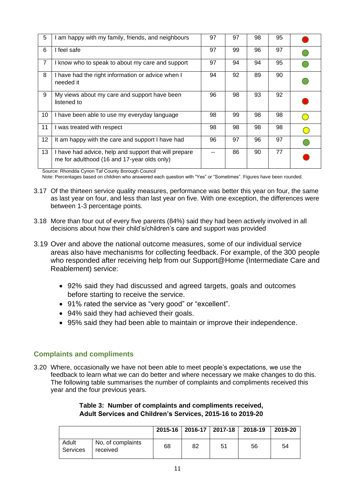| 5              | I am happy with my family, friends, and neighbours                                                   | 97 | 97 | 98 | 95 |  |
|----------------|------------------------------------------------------------------------------------------------------|----|----|----|----|--|
| 6              | I feel safe                                                                                          | 97 | 99 | 96 | 97 |  |
| $\overline{7}$ | I know who to speak to about my care and support                                                     | 97 | 94 | 94 | 95 |  |
| 8              | I have had the right information or advice when I<br>needed it                                       | 94 | 92 | 89 | 90 |  |
| 9              | My views about my care and support have been<br>listened to                                          | 96 | 98 | 93 | 92 |  |
| 10             | I have been able to use my everyday language                                                         | 98 | 99 | 98 | 98 |  |
| 11             | I was treated with respect                                                                           | 98 | 98 | 98 | 98 |  |
| 12             | It am happy with the care and support I have had                                                     | 96 | 97 | 96 | 97 |  |
| 13             | I have had advice, help and support that will prepare<br>me for adulthood (16 and 17-year olds only) |    | 86 | 90 | 77 |  |

Source: Rhondda Cynon Taf County Borough Council

Note: Percentages based on children who answered each question with "Yes" or "Sometimes". Figures have been rounded.

- 3.17 Of the thirteen service quality measures, performance was better this year on four, the same as last year on four, and less than last year on five. With one exception, the differences were between 1-3 percentage points.
- 3.18 More than four out of every five parents (84%) said they had been actively involved in all decisions about how their child's/children's care and support was provided
- 3.19 Over and above the national outcome measures, some of our individual service areas also have mechanisms for collecting feedback. For example, of the 300 people who responded after receiving help from our Support@Home (Intermediate Care and Reablement) service:
	- 92% said they had discussed and agreed targets, goals and outcomes before starting to receive the service.
	- 91% rated the service as "very good" or "excellent".
	- 94% said they had achieved their goals.
	- 95% said they had been able to maintain or improve their independence.

#### **Complaints and compliments**

3.20 Where, occasionally we have not been able to meet people's expectations, we use the feedback to learn what we can do better and where necessary we make changes to do this. The following table summarises the number of complaints and compliments received this year and the four previous years.

#### **Table 3: Number of complaints and compliments received, Adult Services and Children's Services, 2015-16 to 2019-20**

|                   |                               |    |    | 2015-16   2016-17   2017-18 | 2018-19 | 2019-20 |
|-------------------|-------------------------------|----|----|-----------------------------|---------|---------|
| Adult<br>Services | No, of complaints<br>received | 68 | 82 | 51                          | 56      | 54      |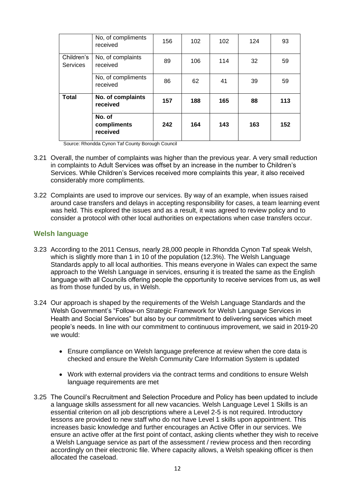|                               | No, of compliments<br>received    | 156 | 102 | 102 | 124 | 93  |
|-------------------------------|-----------------------------------|-----|-----|-----|-----|-----|
| Children's<br><b>Services</b> | No, of complaints<br>received     | 89  | 106 | 114 | 32  | 59  |
|                               | No, of compliments<br>received    | 86  | 62  | 41  | 39  | 59  |
| <b>Total</b>                  | No. of complaints<br>received     | 157 | 188 | 165 | 88  | 113 |
|                               | No. of<br>compliments<br>received | 242 | 164 | 143 | 163 | 152 |

Source: Rhondda Cynon Taf County Borough Council

- 3.21 Overall, the number of complaints was higher than the previous year. A very small reduction in complaints to Adult Services was offset by an increase in the number to Children's Services. While Children's Services received more complaints this year, it also received considerably more compliments.
- 3.22 Complaints are used to improve our services. By way of an example, when issues raised around case transfers and delays in accepting responsibility for cases, a team learning event was held. This explored the issues and as a result, it was agreed to review policy and to consider a protocol with other local authorities on expectations when case transfers occur.

#### **Welsh language**

- 3.23 According to the 2011 Census, nearly 28,000 people in Rhondda Cynon Taf speak Welsh, which is slightly more than 1 in 10 of the population (12.3%). The Welsh Language Standards apply to all local authorities. This means everyone in Wales can expect the same approach to the Welsh Language in services, ensuring it is treated the same as the English language with all Councils offering people the opportunity to receive services from us, as well as from those funded by us, in Welsh.
- 3.24 Our approach is shaped by the requirements of the Welsh Language Standards and the Welsh Government's "Follow-on Strategic Framework for Welsh Language Services in Health and Social Services" but also by our commitment to delivering services which meet people's needs. In line with our commitment to continuous improvement, we said in 2019-20 we would:
	- Ensure compliance on Welsh language preference at review when the core data is checked and ensure the Welsh Community Care Information System is updated
	- Work with external providers via the contract terms and conditions to ensure Welsh language requirements are met
- 3.25 The Council's Recruitment and Selection Procedure and Policy has been updated to include a language skills assessment for all new vacancies. Welsh Language Level 1 Skills is an essential criterion on all job descriptions where a Level 2-5 is not required. Introductory lessons are provided to new staff who do not have Level 1 skills upon appointment. This increases basic knowledge and further encourages an Active Offer in our services. We ensure an active offer at the first point of contact, asking clients whether they wish to receive a Welsh Language service as part of the assessment / review process and then recording accordingly on their electronic file. Where capacity allows, a Welsh speaking officer is then allocated the caseload.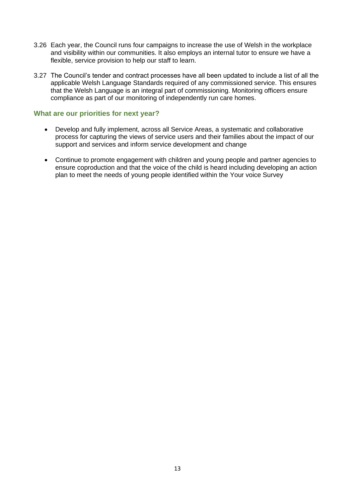- 3.26 Each year, the Council runs four campaigns to increase the use of Welsh in the workplace and visibility within our communities. It also employs an internal tutor to ensure we have a flexible, service provision to help our staff to learn.
- 3.27 The Council's tender and contract processes have all been updated to include a list of all the applicable Welsh Language Standards required of any commissioned service. This ensures that the Welsh Language is an integral part of commissioning. Monitoring officers ensure compliance as part of our monitoring of independently run care homes.

#### **What are our priorities for next year?**

- Develop and fully implement, across all Service Areas, a systematic and collaborative process for capturing the views of service users and their families about the impact of our support and services and inform service development and change
- Continue to promote engagement with children and young people and partner agencies to ensure coproduction and that the voice of the child is heard including developing an action plan to meet the needs of young people identified within the Your voice Survey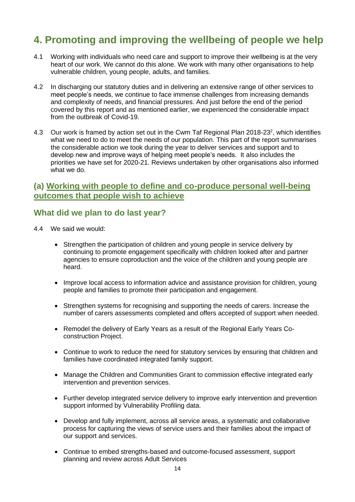# **4. Promoting and improving the wellbeing of people we help**

- 4.1 Working with individuals who need care and support to improve their wellbeing is at the very heart of our work. We cannot do this alone. We work with many other organisations to help vulnerable children, young people, adults, and families.
- 4.2 In discharging our statutory duties and in delivering an extensive range of other services to meet people's needs, we continue to face immense challenges from increasing demands and complexity of needs, and financial pressures. And just before the end of the period covered by this report and as mentioned earlier, we experienced the considerable impact from the outbreak of Covid-19.
- 4.3 Our work is framed by action set out in the Cwm Taf Regional Plan 2018-23<sup>2</sup>, which identifies what we need to do to meet the needs of our population. This part of the report summarises the considerable action we took during the year to deliver services and support and to develop new and improve ways of helping meet people's needs. It also includes the priorities we have set for 2020-21. Reviews undertaken by other organisations also informed what we do.

## **(a) Working with people to define and co-produce personal well-being outcomes that people wish to achieve**

# **What did we plan to do last year?**

- 4.4 We said we would:
	- Strengthen the participation of children and young people in service delivery by continuing to promote engagement specifically with children looked after and partner agencies to ensure coproduction and the voice of the children and young people are heard.
	- Improve local access to information advice and assistance provision for children, young people and families to promote their participation and engagement.
	- Strengthen systems for recognising and supporting the needs of carers. Increase the number of carers assessments completed and offers accepted of support when needed.
	- Remodel the delivery of Early Years as a result of the Regional Early Years Coconstruction Project.
	- Continue to work to reduce the need for statutory services by ensuring that children and families have coordinated integrated family support.
	- Manage the Children and Communities Grant to commission effective integrated early intervention and prevention services.
	- Further develop integrated service delivery to improve early intervention and prevention support informed by Vulnerability Profiling data.
	- Develop and fully implement, across all service areas, a systematic and collaborative process for capturing the views of service users and their families about the impact of our support and services.
	- Continue to embed strengths-based and outcome-focused assessment, support planning and review across Adult Services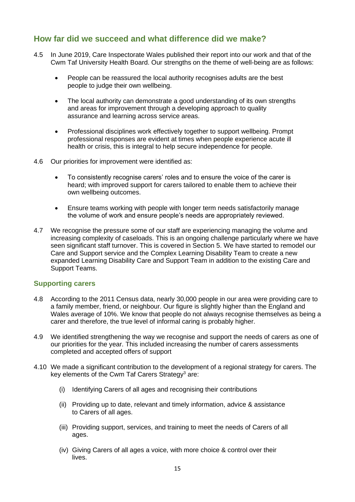# **How far did we succeed and what difference did we make?**

- 4.5 In June 2019, Care Inspectorate Wales published their report into our work and that of the Cwm Taf University Health Board. Our strengths on the theme of well-being are as follows:
	- People can be reassured the local authority recognises adults are the best people to judge their own wellbeing.
	- The local authority can demonstrate a good understanding of its own strengths and areas for improvement through a developing approach to quality assurance and learning across service areas.
	- Professional disciplines work effectively together to support wellbeing. Prompt professional responses are evident at times when people experience acute ill health or crisis, this is integral to help secure independence for people.
- 4.6 Our priorities for improvement were identified as:
	- To consistently recognise carers' roles and to ensure the voice of the carer is heard; with improved support for carers tailored to enable them to achieve their own wellbeing outcomes.
	- Ensure teams working with people with longer term needs satisfactorily manage the volume of work and ensure people's needs are appropriately reviewed.
- 4.7 We recognise the pressure some of our staff are experiencing managing the volume and increasing complexity of caseloads. This is an ongoing challenge particularly where we have seen significant staff turnover. This is covered in Section 5. We have started to remodel our Care and Support service and the Complex Learning Disability Team to create a new expanded Learning Disability Care and Support Team in addition to the existing Care and Support Teams.

#### **Supporting carers**

- 4.8 According to the 2011 Census data, nearly 30,000 people in our area were providing care to a family member, friend, or neighbour. Our figure is slightly higher than the England and Wales average of 10%. We know that people do not always recognise themselves as being a carer and therefore, the true level of informal caring is probably higher.
- 4.9 We identified strengthening the way we recognise and support the needs of carers as one of our priorities for the year. This included increasing the number of carers assessments completed and accepted offers of support
- 4.10 We made a significant contribution to the development of a regional strategy for carers. The key elements of the Cwm Taf Carers Strategy<sup>3</sup> are:
	- (i) Identifying Carers of all ages and recognising their contributions
	- (ii) Providing up to date, relevant and timely information, advice & assistance to Carers of all ages.
	- (iii) Providing support, services, and training to meet the needs of Carers of all ages.
	- (iv) Giving Carers of all ages a voice, with more choice & control over their lives.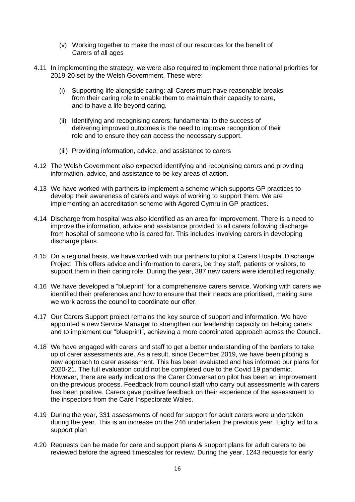- (v) Working together to make the most of our resources for the benefit of Carers of all ages
- 4.11 In implementing the strategy, we were also required to implement three national priorities for 2019-20 set by the Welsh Government. These were:
	- (i) Supporting life alongside caring: all Carers must have reasonable breaks from their caring role to enable them to maintain their capacity to care, and to have a life beyond caring.
	- (ii) Identifying and recognising carers; fundamental to the success of delivering improved outcomes is the need to improve recognition of their role and to ensure they can access the necessary support.
	- (iii) Providing information, advice, and assistance to carers
- 4.12 The Welsh Government also expected identifying and recognising carers and providing information, advice, and assistance to be key areas of action.
- 4.13 We have worked with partners to implement a scheme which supports GP practices to develop their awareness of carers and ways of working to support them. We are implementing an accreditation scheme with Agored Cymru in GP practices.
- 4.14 Discharge from hospital was also identified as an area for improvement. There is a need to improve the information, advice and assistance provided to all carers following discharge from hospital of someone who is cared for. This includes involving carers in developing discharge plans.
- 4.15 On a regional basis, we have worked with our partners to pilot a Carers Hospital Discharge Project. This offers advice and information to carers, be they staff, patients or visitors, to support them in their caring role. During the year, 387 new carers were identified regionally.
- 4.16 We have developed a "blueprint" for a comprehensive carers service. Working with carers we identified their preferences and how to ensure that their needs are prioritised, making sure we work across the council to coordinate our offer.
- 4.17 Our Carers Support project remains the key source of support and information. We have appointed a new Service Manager to strengthen our leadership capacity on helping carers and to implement our "blueprint", achieving a more coordinated approach across the Council.
- 4.18 We have engaged with carers and staff to get a better understanding of the barriers to take up of carer assessments are. As a result, since December 2019, we have been piloting a new approach to carer assessment. This has been evaluated and has informed our plans for 2020-21. The full evaluation could not be completed due to the Covid 19 pandemic. However, there are early indications the Carer Conversation pilot has been an improvement on the previous process. Feedback from council staff who carry out assessments with carers has been positive. Carers gave positive feedback on their experience of the assessment to the inspectors from the Care Inspectorate Wales.
- 4.19 During the year, 331 assessments of need for support for adult carers were undertaken during the year. This is an increase on the 246 undertaken the previous year. Eighty led to a support plan
- 4.20 Requests can be made for care and support plans & support plans for adult carers to be reviewed before the agreed timescales for review. During the year, 1243 requests for early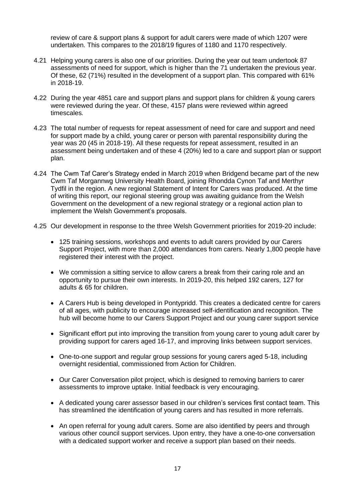review of care & support plans & support for adult carers were made of which 1207 were undertaken. This compares to the 2018/19 figures of 1180 and 1170 respectively.

- 4.21 Helping young carers is also one of our priorities. During the year out team undertook 87 assessments of need for support, which is higher than the 71 undertaken the previous year. Of these, 62 (71%) resulted in the development of a support plan. This compared with 61% in 2018-19.
- 4.22 During the year 4851 care and support plans and support plans for children & young carers were reviewed during the year. Of these, 4157 plans were reviewed within agreed timescales*.*
- 4.23 The total number of requests for repeat assessment of need for care and support and need for support made by a child, young carer or person with parental responsibility during the year was 20 (45 in 2018-19). All these requests for repeat assessment, resulted in an assessment being undertaken and of these 4 (20%) led to a care and support plan or support plan.
- 4.24 The Cwm Taf Carer's Strategy ended in March 2019 when Bridgend became part of the new Cwm Taf Morgannwg University Health Board, joining Rhondda Cynon Taf and Merthyr Tydfil in the region. A new regional Statement of Intent for Carers was produced. At the time of writing this report, our regional steering group was awaiting guidance from the Welsh Government on the development of a new regional strategy or a regional action plan to implement the Welsh Government's proposals.
- 4.25 Our development in response to the three Welsh Government priorities for 2019-20 include:
	- 125 training sessions, workshops and events to adult carers provided by our Carers Support Project, with more than 2,000 attendances from carers. Nearly 1,800 people have registered their interest with the project.
	- We commission a sitting service to allow carers a break from their caring role and an opportunity to pursue their own interests. In 2019-20, this helped 192 carers, 127 for adults & 65 for children.
	- A Carers Hub is being developed in Pontypridd. This creates a dedicated centre for carers of all ages, with publicity to encourage increased self-identification and recognition. The hub will become home to our Carers Support Project and our young carer support service
	- Significant effort put into improving the transition from young carer to young adult carer by providing support for carers aged 16-17, and improving links between support services.
	- One-to-one support and regular group sessions for young carers aged 5-18, including overnight residential, commissioned from Action for Children.
	- Our Carer Conversation pilot project, which is designed to removing barriers to carer assessments to improve uptake. Initial feedback is very encouraging.
	- A dedicated young carer assessor based in our children's services first contact team. This has streamlined the identification of young carers and has resulted in more referrals.
	- An open referral for young adult carers. Some are also identified by peers and through various other council support services. Upon entry, they have a one-to-one conversation with a dedicated support worker and receive a support plan based on their needs.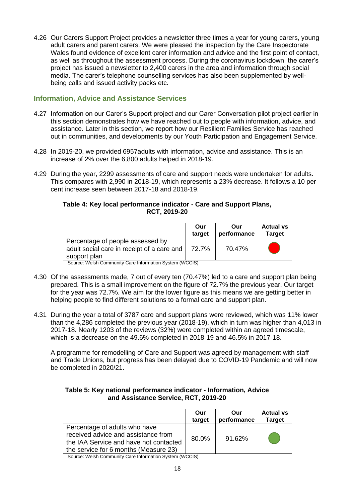4.26 Our Carers Support Project provides a newsletter three times a year for young carers, young adult carers and parent carers. We were pleased the inspection by the Care Inspectorate Wales found evidence of excellent carer information and advice and the first point of contact, as well as throughout the assessment process. During the coronavirus lockdown, the carer's project has issued a newsletter to 2,400 carers in the area and information through social media. The carer's telephone counselling services has also been supplemented by wellbeing calls and issued activity packs etc.

## **Information, Advice and Assistance Services**

- 4.27 Information on our Carer's Support project and our Carer Conversation pilot project earlier in this section demonstrates how we have reached out to people with information, advice, and assistance. Later in this section, we report how our Resilient Families Service has reached out in communities, and developments by our Youth Participation and Engagement Service.
- 4.28 In 2019-20, we provided 6957adults with information, advice and assistance. This is an increase of 2% over the 6,800 adults helped in 2018-19.
- 4.29 During the year, 2299 assessments of care and support needs were undertaken for adults. This compares with 2,990 in 2018-19, which represents a 23% decrease. It follows a 10 per cent increase seen between 2017-18 and 2018-19.

#### **Table 4: Key local performance indicator - Care and Support Plans, RCT, 2019-20**

|                                                                                                | Our    | Our         | <b>Actual vs</b> |
|------------------------------------------------------------------------------------------------|--------|-------------|------------------|
|                                                                                                | target | performance | <b>Target</b>    |
| Percentage of people assessed by<br>adult social care in receipt of a care and<br>support plan | 72.7%  | 70.47%      |                  |

Source: Welsh Community Care Information System (WCCIS)

- 4.30 Of the assessments made, 7 out of every ten (70.47%) led to a care and support plan being prepared. This is a small improvement on the figure of 72.7% the previous year. Our target for the year was 72.7%. We aim for the lower figure as this means we are getting better in helping people to find different solutions to a formal care and support plan.
- 4.31 During the year a total of 3787 care and support plans were reviewed, which was 11% lower than the 4,286 completed the previous year (2018-19), which in turn was higher than 4,013 in 2017-18. Nearly 1203 of the reviews (32%) were completed within an agreed timescale, which is a decrease on the 49.6% completed in 2018-19 and 46.5% in 2017-18.

A programme for remodelling of Care and Support was agreed by management with staff and Trade Unions, but progress has been delayed due to COVID-19 Pandemic and will now be completed in 2020/21.

#### **Table 5: Key national performance indicator - Information, Advice and Assistance Service, RCT, 2019-20**

| Percentage of adults who have<br>received advice and assistance from<br>80.0%<br>the IAA Service and have not contacted |                                       | Our<br>target | Our<br>performance | <b>Actual vs</b><br><b>Target</b> |
|-------------------------------------------------------------------------------------------------------------------------|---------------------------------------|---------------|--------------------|-----------------------------------|
|                                                                                                                         | the service for 6 months (Measure 23) |               | $91.62\%$          |                                   |

Source: Welsh Community Care Information System (WCCIS)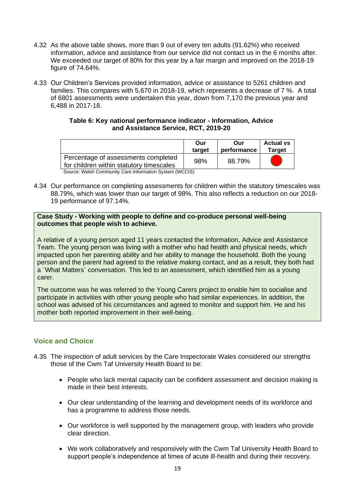- 4.32 As the above table shows, more than 9 out of every ten adults (91.62%) who received information, advice and assistance from our service did not contact us in the 6 months after. We exceeded our target of 80% for this year by a fair margin and improved on the 2018-19 figure of 74.64%.
- 4.33 Our Children's Services provided information, advice or assistance to 5261 children and families. This compares with 5,670 in 2018-19, which represents a decrease of 7 %. A total of 6801 assessments were undertaken this year, down from 7,170 the previous year and 6,488 in 2017-18.

#### **Table 6: Key national performance indicator - Information, Advice and Assistance Service, RCT, 2019-20**

|                                                                                 | Our<br>target | Our<br>performance | <b>Actual vs</b><br><b>Target</b> |  |
|---------------------------------------------------------------------------------|---------------|--------------------|-----------------------------------|--|
| Percentage of assessments completed<br>for children within statutory timescales | 98%           | 88.79%             |                                   |  |
| Source: Welsh Community Care Information System (WCCIS)                         |               |                    |                                   |  |

4.34 Our performance on completing assessments for children within the statutory timescales was 88.79%, which was lower than our target of 98%. This also reflects a reduction on our 2018- 19 performance of 97.14%.

#### **Case Study - Working with people to define and co-produce personal well-being outcomes that people wish to achieve.**

A relative of a young person aged 11 years contacted the Information, Advice and Assistance Team. The young person was living with a mother who had health and physical needs, which impacted upon her parenting ability and her ability to manage the household. Both the young person and the parent had agreed to the relative making contact, and as a result, they both had a `What Matters` conversation. This led to an assessment, which identified him as a young carer.

The outcome was he was referred to the Young Carers project to enable him to socialise and participate in activities with other young people who had similar experiences. In addition, the school was advised of his circumstances and agreed to monitor and support him. He and his mother both reported improvement in their well-being.

## **Voice and Choice**

- 4.35 The inspection of adult services by the Care Inspectorate Wales considered our strengths those of the Cwm Taf University Health Board to be:
	- People who lack mental capacity can be confident assessment and decision making is made in their best interests.
	- Our clear understanding of the learning and development needs of its workforce and has a programme to address those needs.
	- Our workforce is well supported by the management group, with leaders who provide clear direction.
	- We work collaboratively and responsively with the Cwm Taf University Health Board to support people's independence at times of acute ill-health and during their recovery.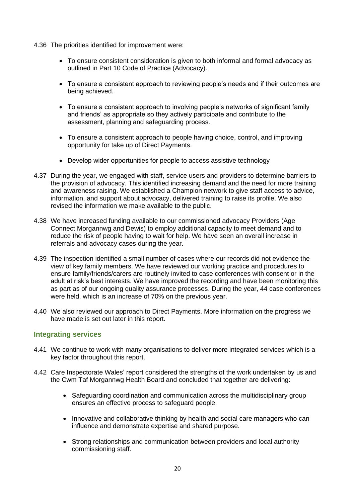- 4.36 The priorities identified for improvement were:
	- To ensure consistent consideration is given to both informal and formal advocacy as outlined in Part 10 Code of Practice (Advocacy).
	- To ensure a consistent approach to reviewing people's needs and if their outcomes are being achieved.
	- To ensure a consistent approach to involving people's networks of significant family and friends' as appropriate so they actively participate and contribute to the assessment, planning and safeguarding process.
	- To ensure a consistent approach to people having choice, control, and improving opportunity for take up of Direct Payments.
	- Develop wider opportunities for people to access assistive technology
- 4.37 During the year, we engaged with staff, service users and providers to determine barriers to the provision of advocacy. This identified increasing demand and the need for more training and awareness raising. We established a Champion network to give staff access to advice, information, and support about advocacy, delivered training to raise its profile. We also revised the information we make available to the public.
- 4.38 We have increased funding available to our commissioned advocacy Providers (Age Connect Morgannwg and Dewis) to employ additional capacity to meet demand and to reduce the risk of people having to wait for help. We have seen an overall increase in referrals and advocacy cases during the year.
- 4.39 The inspection identified a small number of cases where our records did not evidence the view of key family members. We have reviewed our working practice and procedures to ensure family/friends/carers are routinely invited to case conferences with consent or in the adult at risk's best interests. We have improved the recording and have been monitoring this as part as of our ongoing quality assurance processes. During the year, 44 case conferences were held, which is an increase of 70% on the previous year.
- 4.40 We also reviewed our approach to Direct Payments. More information on the progress we have made is set out later in this report.

#### **Integrating services**

- 4.41 We continue to work with many organisations to deliver more integrated services which is a key factor throughout this report.
- 4.42 Care Inspectorate Wales' report considered the strengths of the work undertaken by us and the Cwm Taf Morgannwg Health Board and concluded that together are delivering:
	- Safeguarding coordination and communication across the multidisciplinary group ensures an effective process to safeguard people.
	- Innovative and collaborative thinking by health and social care managers who can influence and demonstrate expertise and shared purpose.
	- Strong relationships and communication between providers and local authority commissioning staff.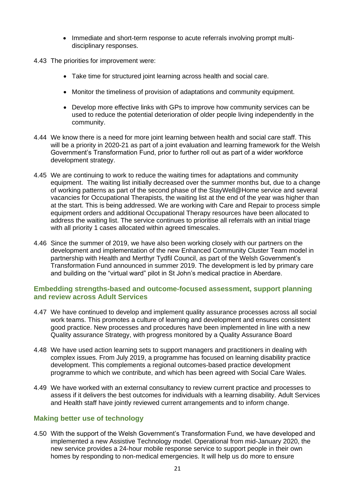- Immediate and short-term response to acute referrals involving prompt multidisciplinary responses.
- 4.43 The priorities for improvement were:
	- Take time for structured joint learning across health and social care.
	- Monitor the timeliness of provision of adaptations and community equipment.
	- Develop more effective links with GPs to improve how community services can be used to reduce the potential deterioration of older people living independently in the community.
- 4.44 We know there is a need for more joint learning between health and social care staff. This will be a priority in 2020-21 as part of a joint evaluation and learning framework for the Welsh Government's Transformation Fund, prior to further roll out as part of a wider workforce development strategy.
- 4.45 We are continuing to work to reduce the waiting times for adaptations and community equipment. The waiting list initially decreased over the summer months but, due to a change of working patterns as part of the second phase of the StayWell@Home service and several vacancies for Occupational Therapists, the waiting list at the end of the year was higher than at the start. This is being addressed. We are working with Care and Repair to process simple equipment orders and additional Occupational Therapy resources have been allocated to address the waiting list. The service continues to prioritise all referrals with an initial triage with all priority 1 cases allocated within agreed timescales.
- 4.46 Since the summer of 2019, we have also been working closely with our partners on the development and implementation of the new Enhanced Community Cluster Team model in partnership with Health and Merthyr Tydfil Council, as part of the Welsh Government's Transformation Fund announced in summer 2019. The development is led by primary care and building on the "virtual ward" pilot in St John's medical practice in Aberdare.

#### **Embedding strengths-based and outcome-focused assessment, support planning and review across Adult Services**

- 4.47 We have continued to develop and implement quality assurance processes across all social work teams. This promotes a culture of learning and development and ensures consistent good practice. New processes and procedures have been implemented in line with a new Quality assurance Strategy, with progress monitored by a Quality Assurance Board
- 4.48 We have used action learning sets to support managers and practitioners in dealing with complex issues. From July 2019, a programme has focused on learning disability practice development. This complements a regional outcomes-based practice development programme to which we contribute, and which has been agreed with Social Care Wales.
- 4.49 We have worked with an external consultancy to review current practice and processes to assess if it delivers the best outcomes for individuals with a learning disability. Adult Services and Health staff have jointly reviewed current arrangements and to inform change.

## **Making better use of technology**

4.50 With the support of the Welsh Government's Transformation Fund, we have developed and implemented a new Assistive Technology model. Operational from mid-January 2020, the new service provides a 24-hour mobile response service to support people in their own homes by responding to non-medical emergencies. It will help us do more to ensure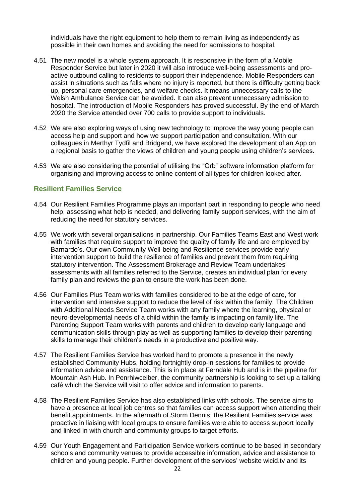individuals have the right equipment to help them to remain living as independently as possible in their own homes and avoiding the need for admissions to hospital.

- 4.51 The new model is a whole system approach. It is responsive in the form of a Mobile Responder Service but later in 2020 it will also introduce well-being assessments and proactive outbound calling to residents to support their independence. Mobile Responders can assist in situations such as falls where no injury is reported, but there is difficulty getting back up, personal care emergencies, and welfare checks. It means unnecessary calls to the Welsh Ambulance Service can be avoided. It can also prevent unnecessary admission to hospital. The introduction of Mobile Responders has proved successful. By the end of March 2020 the Service attended over 700 calls to provide support to individuals.
- 4.52 We are also exploring ways of using new technology to improve the way young people can access help and support and how we support participation and consultation. With our colleagues in Merthyr Tydfil and Bridgend, we have explored the development of an App on a regional basis to gather the views of children and young people using children's services.
- 4.53 We are also considering the potential of utilising the "Orb" software information platform for organising and improving access to online content of all types for children looked after.

#### **Resilient Families Service**

- 4.54 Our Resilient Families Programme plays an important part in responding to people who need help, assessing what help is needed, and delivering family support services, with the aim of reducing the need for statutory services.
- 4.55 We work with several organisations in partnership. Our Families Teams East and West work with families that require support to improve the quality of family life and are employed by Barnardo's. Our own Community Well-being and Resilience services provide early intervention support to build the resilience of families and prevent them from requiring statutory intervention. The Assessment Brokerage and Review Team undertakes assessments with all families referred to the Service, creates an individual plan for every family plan and reviews the plan to ensure the work has been done.
- 4.56 Our Families Plus Team works with families considered to be at the edge of care, for intervention and intensive support to reduce the level of risk within the family. The Children with Additional Needs Service Team works with any family where the learning, physical or neuro-developmental needs of a child within the family is impacting on family life. The Parenting Support Team works with parents and children to develop early language and communication skills through play as well as supporting families to develop their parenting skills to manage their children's needs in a productive and positive way.
- 4.57 The Resilient Families Service has worked hard to promote a presence in the newly established Community Hubs, holding fortnightly drop-in sessions for families to provide information advice and assistance. This is in place at Ferndale Hub and is in the pipeline for Mountain Ash Hub. In Penrhiwceiber, the community partnership is looking to set up a talking café which the Service will visit to offer advice and information to parents.
- 4.58 The Resilient Families Service has also established links with schools. The service aims to have a presence at local job centres so that families can access support when attending their benefit appointments. In the aftermath of Storm Dennis, the Resilient Families service was proactive in liaising with local groups to ensure families were able to access support locally and linked in with church and community groups to target efforts.
- 4.59 Our Youth Engagement and Participation Service workers continue to be based in secondary schools and community venues to provide accessible information, advice and assistance to children and young people. Further development of the services' website wicid.tv and its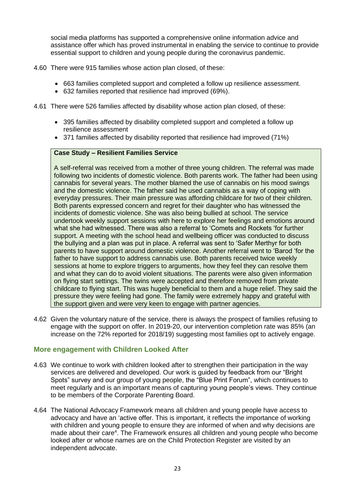social media platforms has supported a comprehensive online information advice and assistance offer which has proved instrumental in enabling the service to continue to provide essential support to children and young people during the coronavirus pandemic.

- 4.60 There were 915 families whose action plan closed, of these:
	- 663 families completed support and completed a follow up resilience assessment.
	- 632 families reported that resilience had improved (69%).
- 4.61 There were 526 families affected by disability whose action plan closed, of these:
	- 395 families affected by disability completed support and completed a follow up resilience assessment
	- 371 families affected by disability reported that resilience had improved (71%)

#### **Case Study – Resilient Families Service**

A self-referral was received from a mother of three young children. The referral was made following two incidents of domestic violence. Both parents work. The father had been using cannabis for several years. The mother blamed the use of cannabis on his mood swings and the domestic violence. The father said he used cannabis as a way of coping with everyday pressures. Their main pressure was affording childcare for two of their children. Both parents expressed concern and regret for their daughter who has witnessed the incidents of domestic violence. She was also being bullied at school. The service undertook weekly support sessions with here to explore her feelings and emotions around what she had witnessed. There was also a referral to 'Comets and Rockets 'for further support. A meeting with the school head and wellbeing officer was conducted to discuss the bullying and a plan was put in place. A referral was sent to 'Safer Merthyr for both parents to have support around domestic violence. Another referral went to 'Barod 'for the father to have support to address cannabis use. Both parents received twice weekly sessions at home to explore triggers to arguments, how they feel they can resolve them and what they can do to avoid violent situations. The parents were also given information on flying start settings. The twins were accepted and therefore removed from private childcare to flying start. This was hugely beneficial to them and a huge relief. They said the pressure they were feeling had gone. The family were extremely happy and grateful with the support given and were very keen to engage with partner agencies.

4.62 Given the voluntary nature of the service, there is always the prospect of families refusing to engage with the support on offer. In 2019-20, our intervention completion rate was 85% (an increase on the 72% reported for 2018/19) suggesting most families opt to actively engage.

#### **More engagement with Children Looked After**

- 4.63 We continue to work with children looked after to strengthen their participation in the way services are delivered and developed. Our work is guided by feedback from our "Bright Spots" survey and our group of young people, the "Blue Print Forum", which continues to meet regularly and is an important means of capturing young people's views. They continue to be members of the Corporate Parenting Board.
- 4.64 The National Advocacy Framework means all children and young people have access to advocacy and have an 'active offer. This is important, it reflects the importance of working with children and young people to ensure they are informed of when and why decisions are made about their care<sup>4</sup>. The Framework ensures all children and young people who become looked after or whose names are on the Child Protection Register are visited by an independent advocate.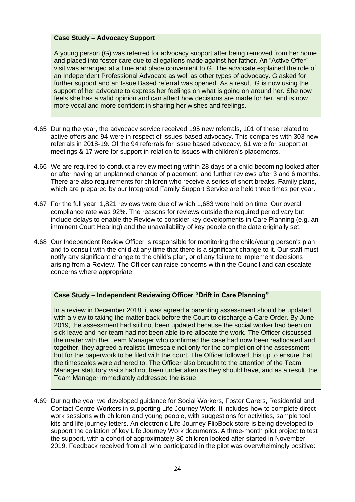#### **Case Study – Advocacy Support**

A young person (G) was referred for advocacy support after being removed from her home and placed into foster care due to allegations made against her father. An "Active Offer" visit was arranged at a time and place convenient to G. The advocate explained the role of an Independent Professional Advocate as well as other types of advocacy. G asked for further support and an Issue Based referral was opened. As a result, G is now using the support of her advocate to express her feelings on what is going on around her. She now feels she has a valid opinion and can affect how decisions are made for her, and is now more vocal and more confident in sharing her wishes and feelings.

- 4.65 During the year, the advocacy service received 195 new referrals, 101 of these related to active offers and 94 were in respect of issues-based advocacy. This compares with 303 new referrals in 2018-19. Of the 94 referrals for issue based advocacy, 61 were for support at meetings & 17 were for support in relation to issues with children's placements.
- 4.66 We are required to conduct a review meeting within 28 days of a child becoming looked after or after having an unplanned change of placement, and further reviews after 3 and 6 months. There are also requirements for children who receive a series of short breaks. Family plans, which are prepared by our Integrated Family Support Service are held three times per year.
- 4.67 For the full year, 1,821 reviews were due of which 1,683 were held on time. Our overall compliance rate was 92%. The reasons for reviews outside the required period vary but include delays to enable the Review to consider key developments in Care Planning (e.g. an imminent Court Hearing) and the unavailability of key people on the date originally set.
- 4.68 Our Independent Review Officer is responsible for monitoring the child/young person's plan and to consult with the child at any time that there is a significant change to it. Our staff must notify any significant change to the child's plan, or of any failure to implement decisions arising from a Review. The Officer can raise concerns within the Council and can escalate concerns where appropriate.

#### **Case Study – Independent Reviewing Officer "Drift in Care Planning"**

In a review in December 2018, it was agreed a parenting assessment should be updated with a view to taking the matter back before the Court to discharge a Care Order. By June 2019, the assessment had still not been updated because the social worker had been on sick leave and her team had not been able to re-allocate the work. The Officer discussed the matter with the Team Manager who confirmed the case had now been reallocated and together, they agreed a realistic timescale not only for the completion of the assessment but for the paperwork to be filed with the court. The Officer followed this up to ensure that the timescales were adhered to. The Officer also brought to the attention of the Team Manager statutory visits had not been undertaken as they should have, and as a result, the Team Manager immediately addressed the issue

4.69 During the year we developed guidance for Social Workers, Foster Carers, Residential and Contact Centre Workers in supporting Life Journey Work. It includes how to complete direct work sessions with children and young people, with suggestions for activities, sample tool kits and life journey letters. An electronic Life Journey FlipBook store is being developed to support the collation of key Life Journey Work documents. A three-month pilot project to test the support, with a cohort of approximately 30 children looked after started in November 2019. Feedback received from all who participated in the pilot was overwhelmingly positive: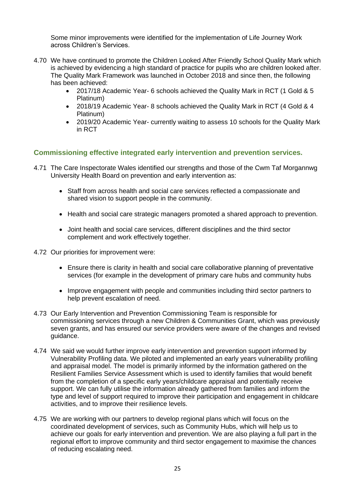Some minor improvements were identified for the implementation of Life Journey Work across Children's Services.

- 4.70 We have continued to promote the Children Looked After Friendly School Quality Mark which is achieved by evidencing a high standard of practice for pupils who are children looked after. The Quality Mark Framework was launched in October 2018 and since then, the following has been achieved:
	- 2017/18 Academic Year- 6 schools achieved the Quality Mark in RCT (1 Gold & 5 Platinum)
	- 2018/19 Academic Year- 8 schools achieved the Quality Mark in RCT (4 Gold & 4 Platinum)
	- 2019/20 Academic Year- currently waiting to assess 10 schools for the Quality Mark in RCT

## **Commissioning effective integrated early intervention and prevention services.**

- 4.71 The Care Inspectorate Wales identified our strengths and those of the Cwm Taf Morgannwg University Health Board on prevention and early intervention as:
	- Staff from across health and social care services reflected a compassionate and shared vision to support people in the community.
	- Health and social care strategic managers promoted a shared approach to prevention.
	- Joint health and social care services, different disciplines and the third sector complement and work effectively together.
- 4.72 Our priorities for improvement were:
	- Ensure there is clarity in health and social care collaborative planning of preventative services (for example in the development of primary care hubs and community hubs
	- Improve engagement with people and communities including third sector partners to help prevent escalation of need.
- 4.73 Our Early Intervention and Prevention Commissioning Team is responsible for commissioning services through a new Children & Communities Grant, which was previously seven grants, and has ensured our service providers were aware of the changes and revised guidance.
- 4.74 We said we would further improve early intervention and prevention support informed by Vulnerability Profiling data. We piloted and implemented an early years vulnerability profiling and appraisal model. The model is primarily informed by the information gathered on the Resilient Families Service Assessment which is used to identify families that would benefit from the completion of a specific early years/childcare appraisal and potentially receive support. We can fully utilise the information already gathered from families and inform the type and level of support required to improve their participation and engagement in childcare activities, and to improve their resilience levels.
- 4.75 We are working with our partners to develop regional plans which will focus on the coordinated development of services, such as Community Hubs, which will help us to achieve our goals for early intervention and prevention. We are also playing a full part in the regional effort to improve community and third sector engagement to maximise the chances of reducing escalating need.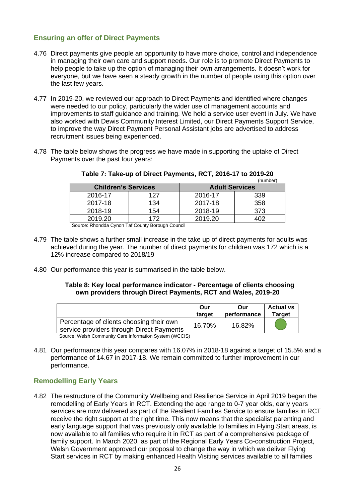## **Ensuring an offer of Direct Payments**

- 4.76 Direct payments give people an opportunity to have more choice, control and independence in managing their own care and support needs. Our role is to promote Direct Payments to help people to take up the option of managing their own arrangements. It doesn't work for everyone, but we have seen a steady growth in the number of people using this option over the last few years.
- 4.77 In 2019-20, we reviewed our approach to Direct Payments and identified where changes were needed to our policy, particularly the wider use of management accounts and improvements to staff guidance and training. We held a service user event in July. We have also worked with Dewis Community Interest Limited, our Direct Payments Support Service, to improve the way Direct Payment Personal Assistant jobs are advertised to address recruitment issues being experienced.
- 4.78 The table below shows the progress we have made in supporting the uptake of Direct Payments over the past four years:

| .                          |     |                       |     |  |  |
|----------------------------|-----|-----------------------|-----|--|--|
| <b>Children's Services</b> |     | <b>Adult Services</b> |     |  |  |
| 2016-17                    | 127 | 2016-17               | 339 |  |  |
| 2017-18                    | 134 | 2017-18               | 358 |  |  |
| 2018-19                    | 154 | 2018-19               | 373 |  |  |
| 2019.20                    | 172 | 2019.20               |     |  |  |
| . <del>.</del>             |     |                       |     |  |  |

**Table 7: Take-up of Direct Payments, RCT, 2016-17 to 2019-20** (number)

Source: Rhondda Cynon Taf County Borough Council

- 4.79 The table shows a further small increase in the take up of direct payments for adults was achieved during the year. The number of direct payments for children was 172 which is a 12% increase compared to 2018/19
- 4.80 Our performance this year is summarised in the table below.

#### **Table 8: Key local performance indicator - Percentage of clients choosing own providers through Direct Payments, RCT and Wales, 2019-20**

|                                                                                       | Our<br>target | Our<br>performance | <b>Actual vs</b><br><b>Target</b> |
|---------------------------------------------------------------------------------------|---------------|--------------------|-----------------------------------|
| Percentage of clients choosing their own<br>service providers through Direct Payments | 16.70%        | 16.82%             |                                   |
| Source: Welsh Community Care Information System (WCCIS)                               |               |                    |                                   |

- Source: Welsh Community Care Information System (WCC
- 4.81 Our performance this year compares with 16.07% in 2018-18 against a target of 15.5% and a performance of 14.67 in 2017-18. We remain committed to further improvement in our performance.

## **Remodelling Early Years**

4.82 The restructure of the Community Wellbeing and Resilience Service in April 2019 began the remodelling of Early Years in RCT. Extending the age range to 0-7 year olds, early years services are now delivered as part of the Resilient Families Service to ensure families in RCT receive the right support at the right time. This now means that the specialist parenting and early language support that was previously only available to families in Flying Start areas, is now available to all families who require it in RCT as part of a comprehensive package of family support. In March 2020, as part of the Regional Early Years Co-construction Project, Welsh Government approved our proposal to change the way in which we deliver Flying Start services in RCT by making enhanced Health Visiting services available to all families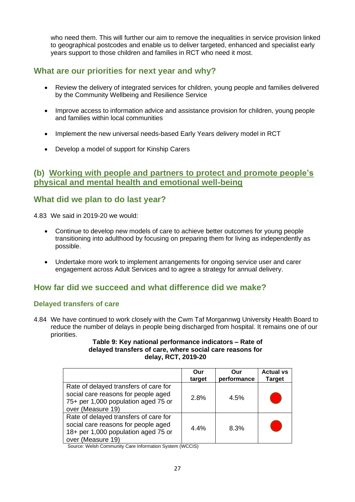who need them. This will further our aim to remove the inequalities in service provision linked to geographical postcodes and enable us to deliver targeted, enhanced and specialist early years support to those children and families in RCT who need it most.

# **What are our priorities for next year and why?**

- Review the delivery of integrated services for children, young people and families delivered by the Community Wellbeing and Resilience Service
- Improve access to information advice and assistance provision for children, young people and families within local communities
- Implement the new universal needs-based Early Years delivery model in RCT
- Develop a model of support for Kinship Carers

# **(b) Working with people and partners to protect and promote people's physical and mental health and emotional well-being**

# **What did we plan to do last year?**

4.83 We said in 2019-20 we would:

- Continue to develop new models of care to achieve better outcomes for young people transitioning into adulthood by focusing on preparing them for living as independently as possible.
- Undertake more work to implement arrangements for ongoing service user and carer engagement across Adult Services and to agree a strategy for annual delivery.

# **How far did we succeed and what difference did we make?**

## **Delayed transfers of care**

4.84 We have continued to work closely with the Cwm Taf Morgannwg University Health Board to reduce the number of delays in people being discharged from hospital. It remains one of our priorities.

#### **Table 9: Key national performance indicators – Rate of delayed transfers of care, where social care reasons for delay, RCT, 2019-20**

|                                                                                                                                          | Our<br>target | Our<br>performance | <b>Actual vs</b><br><b>Target</b> |
|------------------------------------------------------------------------------------------------------------------------------------------|---------------|--------------------|-----------------------------------|
| Rate of delayed transfers of care for<br>social care reasons for people aged<br>75+ per 1,000 population aged 75 or<br>over (Measure 19) | 2.8%          | 4.5%               |                                   |
| Rate of delayed transfers of care for<br>social care reasons for people aged<br>18+ per 1,000 population aged 75 or<br>over (Measure 19) | 4.4%          | 8.3%               |                                   |

Source: Welsh Community Care Information System (WCCIS)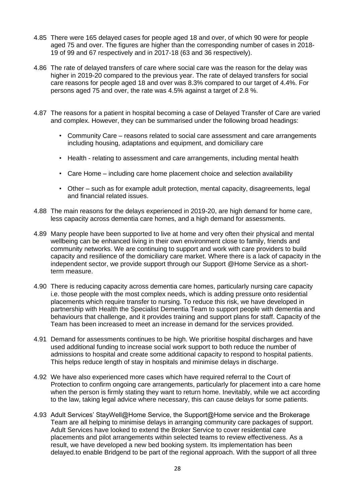- 4.85 There were 165 delayed cases for people aged 18 and over, of which 90 were for people aged 75 and over. The figures are higher than the corresponding number of cases in 2018-19 of 99 and 67 respectively and in 2017-18 (63 and 36 respectively).
- 4.86 The rate of delayed transfers of care where social care was the reason for the delay was higher in 2019-20 compared to the previous year. The rate of delayed transfers for social care reasons for people aged 18 and over was 8.3% compared to our target of 4.4%. For persons aged 75 and over, the rate was 4.5% against a target of 2.8 %.
- 4.87 The reasons for a patient in hospital becoming a case of Delayed Transfer of Care are varied and complex. However, they can be summarised under the following broad headings:
	- Community Care reasons related to social care assessment and care arrangements including housing, adaptations and equipment, and domiciliary care
	- Health relating to assessment and care arrangements, including mental health
	- Care Home including care home placement choice and selection availability
	- Other such as for example adult protection, mental capacity, disagreements, legal and financial related issues.
- 4.88 The main reasons for the delays experienced in 2019-20, are high demand for home care, less capacity across dementia care homes, and a high demand for assessments.
- 4.89 Many people have been supported to live at home and very often their physical and mental wellbeing can be enhanced living in their own environment close to family, friends and community networks. We are continuing to support and work with care providers to build capacity and resilience of the domiciliary care market. Where there is a lack of capacity in the independent sector, we provide support through our Support @Home Service as a shortterm measure.
- 4.90 There is reducing capacity across dementia care homes, particularly nursing care capacity i.e. those people with the most complex needs, which is adding pressure onto residential placements which require transfer to nursing. To reduce this risk, we have developed in partnership with Health the Specialist Dementia Team to support people with dementia and behaviours that challenge, and it provides training and support plans for staff. Capacity of the Team has been increased to meet an increase in demand for the services provided.
- 4.91 Demand for assessments continues to be high. We prioritise hospital discharges and have used additional funding to increase social work support to both reduce the number of admissions to hospital and create some additional capacity to respond to hospital patients. This helps reduce length of stay in hospitals and minimise delays in discharge.
- 4.92 We have also experienced more cases which have required referral to the Court of Protection to confirm ongoing care arrangements, particularly for placement into a care home when the person is firmly stating they want to return home. Inevitably, while we act according to the law, taking legal advice where necessary, this can cause delays for some patients.
- 4.93 Adult Services' StayWell@Home Service, the Support@Home service and the Brokerage Team are all helping to minimise delays in arranging community care packages of support. Adult Services have looked to extend the Broker Service to cover residential care placements and pilot arrangements within selected teams to review effectiveness. As a result, we have developed a new bed booking system. Its implementation has been delayed.to enable Bridgend to be part of the regional approach. With the support of all three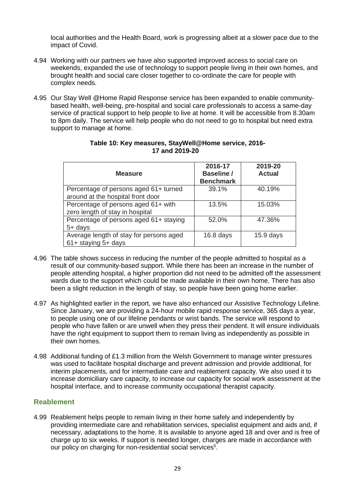local authorities and the Health Board, work is progressing albeit at a slower pace due to the impact of Covid.

- 4.94 Working with our partners we have also supported improved access to social care on weekends, expanded the use of technology to support people living in their own homes, and brought health and social care closer together to co-ordinate the care for people with complex needs.
- 4.95 Our Stay Well @Home Rapid Response service has been expanded to enable communitybased health, well-being, pre-hospital and social care professionals to access a same-day service of practical support to help people to live at home. It will be accessible from 8.30am to 8pm daily. The service will help people who do not need to go to hospital but need extra support to manage at home.

| <b>Measure</b>                                                             | 2016-17<br><b>Baseline /</b><br><b>Benchmark</b> | 2019-20<br><b>Actual</b> |
|----------------------------------------------------------------------------|--------------------------------------------------|--------------------------|
| Percentage of persons aged 61+ turned<br>around at the hospital front door | 39.1%                                            | 40.19%                   |
| Percentage of persons aged 61+ with<br>zero length of stay in hospital     | 13.5%                                            | 15.03%                   |
| Percentage of persons aged 61+ staying<br>$5+$ days                        | 52.0%                                            | 47.36%                   |
| Average length of stay for persons aged<br>61+ staying 5+ days             | $16.8$ days                                      | $15.9$ days              |

#### **Table 10: Key measures, StayWell@Home service, 2016- 17 and 2019-20**

- 4.96 The table shows success in reducing the number of the people admitted to hospital as a result of our community-based support. While there has been an increase in the number of people attending hospital, a higher proportion did not need to be admitted off the assessment wards due to the support which could be made available in their own home. There has also been a slight reduction in the length of stay, so people have been going home earlier.
- 4.97 As highlighted earlier in the report, we have also enhanced our Assistive Technology Lifeline. Since January, we are providing a 24-hour mobile rapid response service, 365 days a year, to people using one of our lifeline pendants or wrist bands. The service will respond to people who have fallen or are unwell when they press their pendent. It will ensure individuals have the right equipment to support them to remain living as independently as possible in their own homes.
- 4.98 Additional funding of £1.3 million from the Welsh Government to manage winter pressures was used to facilitate hospital discharge and prevent admission and provide additional, for interim placements, and for intermediate care and reablement capacity. We also used it to increase domiciliary care capacity, to increase our capacity for social work assessment at the hospital interface, and to increase community occupational therapist capacity.

## **Reablement**

4.99 Reablement helps people to remain living in their home safely and independently by providing intermediate care and rehabilitation services, specialist equipment and aids and, if necessary, adaptations to the home. It is available to anyone aged 18 and over and is free of charge up to six weeks. If support is needed longer, charges are made in accordance with our policy on charging for non-residential social services<sup>5</sup>.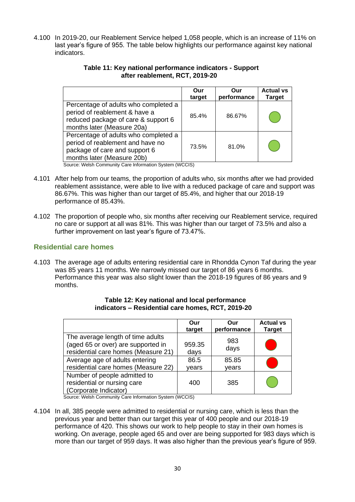4.100 In 2019-20, our Reablement Service helped 1,058 people, which is an increase of 11% on last year's figure of 955. The table below highlights our performance against key national indicators.

|                                                                                                                                                                                                    | Our<br>target | Our<br>performance | <b>Actual vs</b><br><b>Target</b> |
|----------------------------------------------------------------------------------------------------------------------------------------------------------------------------------------------------|---------------|--------------------|-----------------------------------|
| Percentage of adults who completed a<br>period of reablement & have a<br>reduced package of care & support 6<br>months later (Measure 20a)                                                         | 85.4%         | 86.67%             |                                   |
| Percentage of adults who completed a<br>period of reablement and have no<br>package of care and support 6<br>months later (Measure 20b)<br>Source: Welch Community Care Information System (WCCIS) | 73.5%         | 81.0%              |                                   |

#### **Table 11: Key national performance indicators - Support after reablement, RCT, 2019-20**

Source: Welsh Community Care Information System (WCCIS)

- 4.101 After help from our teams, the proportion of adults who, six months after we had provided reablement assistance, were able to live with a reduced package of care and support was 86.67%. This was higher than our target of 85.4%, and higher that our 2018-19 performance of 85.43%.
- 4.102 The proportion of people who, six months after receiving our Reablement service, required no care or support at all was 81%. This was higher than our target of 73.5% and also a further improvement on last year's figure of 73.47%.

## **Residential care homes**

4.103 The average age of adults entering residential care in Rhondda Cynon Taf during the year was 85 years 11 months. We narrowly missed our target of 86 years 6 months. Performance this year was also slight lower than the 2018-19 figures of 86 years and 9 months.

|                                                                                                                | Our            | Our         | <b>Actual vs</b> |
|----------------------------------------------------------------------------------------------------------------|----------------|-------------|------------------|
|                                                                                                                | target         | performance | <b>Target</b>    |
| The average length of time adults<br>(aged 65 or over) are supported in<br>residential care homes (Measure 21) | 959.35<br>days | 983<br>days |                  |
| Average age of adults entering                                                                                 | 86.5           | 85.85       |                  |
| residential care homes (Measure 22)                                                                            | vears          | vears       |                  |
| Number of people admitted to<br>residential or nursing care<br>(Corporate Indicator)                           | 400            | 385         |                  |

#### **Table 12: Key national and local performance indicators – Residential care homes, RCT, 2019-20**

Source: Welsh Community Care Information System (WCCIS)

4.104 In all, 385 people were admitted to residential or nursing care, which is less than the previous year and better than our target this year of 400 people and our 2018-19 performance of 420. This shows our work to help people to stay in their own homes is working. On average, people aged 65 and over are being supported for 983 days which is more than our target of 959 days. It was also higher than the previous year's figure of 959.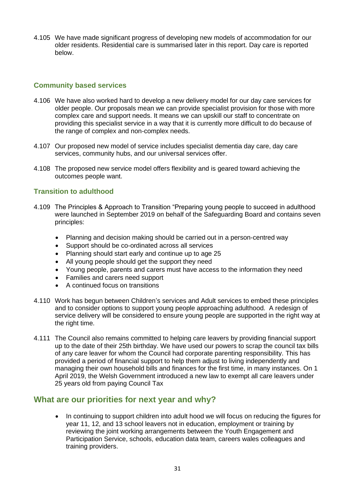4.105 We have made significant progress of developing new models of accommodation for our older residents. Residential care is summarised later in this report. Day care is reported below.

## **Community based services**

- 4.106 We have also worked hard to develop a new delivery model for our day care services for older people. Our proposals mean we can provide specialist provision for those with more complex care and support needs. It means we can upskill our staff to concentrate on providing this specialist service in a way that it is currently more difficult to do because of the range of complex and non-complex needs.
- 4.107 Our proposed new model of service includes specialist dementia day care, day care services, community hubs, and our universal services offer.
- 4.108 The proposed new service model offers flexibility and is geared toward achieving the outcomes people want.

## **Transition to adulthood**

- 4.109 The Principles & Approach to Transition "Preparing young people to succeed in adulthood were launched in September 2019 on behalf of the Safeguarding Board and contains seven principles:
	- Planning and decision making should be carried out in a person-centred way
	- Support should be co-ordinated across all services
	- Planning should start early and continue up to age 25
	- All young people should get the support they need
	- Young people, parents and carers must have access to the information they need
	- Families and carers need support
	- A continued focus on transitions
- 4.110 Work has begun between Children's services and Adult services to embed these principles and to consider options to support young people approaching adulthood. A redesign of service delivery will be considered to ensure young people are supported in the right way at the right time.
- 4.111 The Council also remains committed to helping care leavers by providing financial support up to the date of their 25th birthday. We have used our powers to scrap the council tax bills of any care leaver for whom the Council had corporate parenting responsibility. This has provided a period of financial support to help them adjust to living independently and managing their own household bills and finances for the first time, in many instances. On 1 April 2019, the Welsh Government introduced a new law to exempt all care leavers under 25 years old from paying Council Tax

## **What are our priorities for next year and why?**

• In continuing to support children into adult hood we will focus on reducing the figures for year 11, 12, and 13 school leavers not in education, employment or training by reviewing the joint working arrangements between the Youth Engagement and Participation Service, schools, education data team, careers wales colleagues and training providers.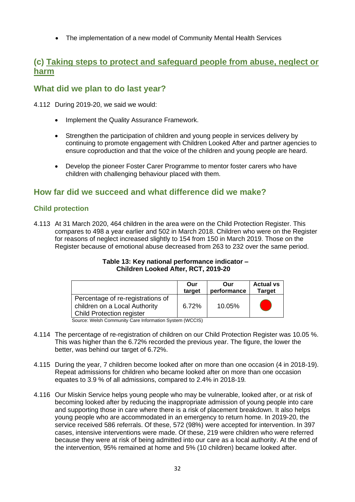• The implementation of a new model of Community Mental Health Services

# **(c) Taking steps to protect and safeguard people from abuse, neglect or harm**

# **What did we plan to do last year?**

- 4.112 During 2019-20, we said we would:
	- Implement the Quality Assurance Framework.
	- Strengthen the participation of children and young people in services delivery by continuing to promote engagement with Children Looked After and partner agencies to ensure coproduction and that the voice of the children and young people are heard.
	- Develop the pioneer Foster Carer Programme to mentor foster carers who have children with challenging behaviour placed with them.

# **How far did we succeed and what difference did we make?**

## **Child protection**

4.113 At 31 March 2020, 464 children in the area were on the Child Protection Register. This compares to 498 a year earlier and 502 in March 2018. Children who were on the Register for reasons of neglect increased slightly to 154 from 150 in March 2019. Those on the Register because of emotional abuse decreased from 263 to 232 over the same period.

#### **Table 13: Key national performance indicator – Children Looked After, RCT, 2019-20**

|                                                                                                 | Our    | Our         | <b>Actual vs</b> |
|-------------------------------------------------------------------------------------------------|--------|-------------|------------------|
|                                                                                                 | target | performance | <b>Target</b>    |
| Percentage of re-registrations of<br>children on a Local Authority<br>Child Protection register | 6.72%  | 10.05%      |                  |

Source: Welsh Community Care Information System (WCCIS)

- 4.114 The percentage of re-registration of children on our Child Protection Register was 10.05 %. This was higher than the 6.72% recorded the previous year. The figure, the lower the better, was behind our target of 6.72%.
- 4.115 During the year, 7 children become looked after on more than one occasion (4 in 2018-19). Repeat admissions for children who became looked after on more than one occasion equates to 3.9 % of all admissions, compared to 2.4% in 2018-19*.*
- 4.116 Our Miskin Service helps young people who may be vulnerable, looked after, or at risk of becoming looked after by reducing the inappropriate admission of young people into care and supporting those in care where there is a risk of placement breakdown. It also helps young people who are accommodated in an emergency to return home. In 2019-20, the service received 586 referrals. Of these, 572 (98%) were accepted for intervention. In 397 cases, intensive interventions were made. Of these, 219 were children who were referred because they were at risk of being admitted into our care as a local authority. At the end of the intervention, 95% remained at home and 5% (10 children) became looked after.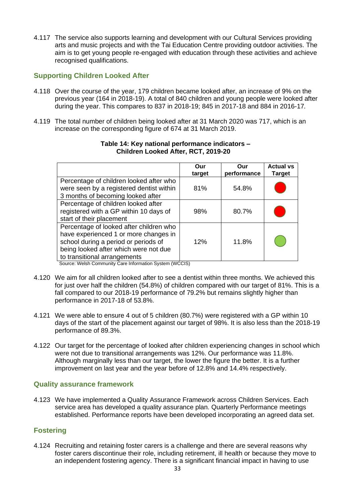4.117 The service also supports learning and development with our Cultural Services providing arts and music projects and with the Tai Education Centre providing outdoor activities. The aim is to get young people re-engaged with education through these activities and achieve recognised qualifications.

## **Supporting Children Looked After**

- 4.118 Over the course of the year, 179 children became looked after, an increase of 9% on the previous year (164 in 2018-19). A total of 840 children and young people were looked after during the year. This compares to 837 in 2018-19; 845 in 2017-18 and 884 in 2016-17*.*
- 4.119 The total number of children being looked after at 31 March 2020 was 717, which is an increase on the corresponding figure of 674 at 31 March 2019.

|                                                                                                                                                                                                   | Our<br>target | Our<br>performance | <b>Actual vs</b><br>Target |
|---------------------------------------------------------------------------------------------------------------------------------------------------------------------------------------------------|---------------|--------------------|----------------------------|
| Percentage of children looked after who<br>were seen by a registered dentist within<br>3 months of becoming looked after                                                                          | 81%           | 54.8%              |                            |
| Percentage of children looked after<br>registered with a GP within 10 days of<br>start of their placement                                                                                         | 98%           | 80.7%              |                            |
| Percentage of looked after children who<br>have experienced 1 or more changes in<br>school during a period or periods of<br>being looked after which were not due<br>to transitional arrangements | 12%           | 11.8%              |                            |

#### **Table 14: Key national performance indicators – Children Looked After, RCT, 2019-20**

Source: Welsh Community Care Information System (WCCIS)

- 4.120 We aim for all children looked after to see a dentist within three months. We achieved this for just over half the children (54.8%) of children compared with our target of 81%. This is a fall compared to our 2018-19 performance of 79.2% but remains slightly higher than performance in 2017-18 of 53.8%.
- 4.121 We were able to ensure 4 out of 5 children (80.7%) were registered with a GP within 10 days of the start of the placement against our target of 98%. It is also less than the 2018-19 performance of 89.3%.
- 4.122 Our target for the percentage of looked after children experiencing changes in school which were not due to transitional arrangements was 12%. Our performance was 11.8%. Although marginally less than our target, the lower the figure the better. It is a further improvement on last year and the year before of 12.8% and 14.4% respectively.

## **Quality assurance framework**

4.123 We have implemented a Quality Assurance Framework across Children Services. Each service area has developed a quality assurance plan. Quarterly Performance meetings established. Performance reports have been developed incorporating an agreed data set.

## **Fostering**

4.124 Recruiting and retaining foster carers is a challenge and there are several reasons why foster carers discontinue their role, including retirement, ill health or because they move to an independent fostering agency. There is a significant financial impact in having to use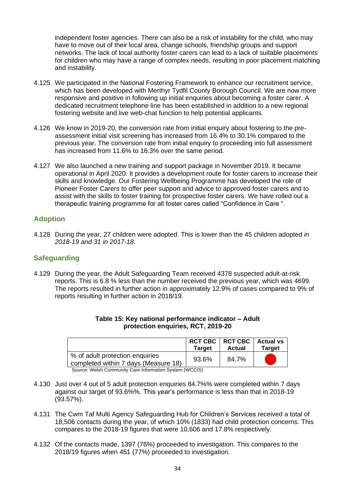independent foster agencies. There can also be a risk of instability for the child, who may have to move out of their local area, change schools, friendship groups and support networks. The lack of local authority foster carers can lead to a lack of suitable placements for children who may have a range of complex needs, resulting in poor placement matching and instability.

- 4.125 We participated in the National Fostering Framework to enhance our recruitment service, which has been developed with Merthyr Tydfil County Borough Council. We are now more responsive and positive in following up initial enquiries about becoming a foster carer. A dedicated recruitment telephone line has been established in addition to a new regional fostering website and live web-chat function to help potential applicants.
- 4.126 We know in 2019-20, the conversion rate from initial enquiry about fostering to the preassessment initial visit screening has increased from 16.4% to 30.1% compared to the previous year. The conversion rate from initial enquiry to proceeding into full assessment has increased from 11.6% to 16.3% over the same period.
- 4.127 We also launched a new training and support package in November 2019. It became operational in April 2020. It provides a development route for foster carers to increase their skills and knowledge. Our Fostering Wellbeing Programme has developed the role of Pioneer Foster Carers to offer peer support and advice to approved foster carers and to assist with the skills to foster training for prospective foster carers. We have rolled out a therapeutic training programme for all foster cares called "Confidence in Care ".

## **Adoption**

4.128 During the year, 27 children were adopted. This is lower than the 45 children adopted *in 2018-19 and 31 in 2017-18.*

## **Safeguarding**

4.129 During the year, the Adult Safeguarding Team received 4378 suspected adult-at-risk reports. This is 6.8 % less than the number received the previous year, which was 4699. The reports resulted in further action in approximately 12.9% of cases compared to 9% of reports resulting in further action in 2018/19.

|                                                                         | <b>Target</b> | RCT CBC   RCT CBC   Actual vs<br>Actual | Target |
|-------------------------------------------------------------------------|---------------|-----------------------------------------|--------|
| % of adult protection enquiries<br>completed within 7 days (Measure 18) | 93.6%         | 84.7%                                   |        |

| Table 15: Key national performance indicator - Adult |  |
|------------------------------------------------------|--|
| protection enquiries, RCT, 2019-20                   |  |

Source: Welsh Community Care Information System (WCCIS)

- 4.130 Just over 4 out of 5 adult protection enquiries 84.7%% were completed within 7 days against our target of 93.6%%. This year's performance is less than that in 2018-19 (93.57%).
- 4.131 The Cwm Taf Multi Agency Safeguarding Hub for Children's Services received a total of 18,506 contacts during the year, of which 10% (1833) had child protection concerns. This compares to the 2018-19 figures that were 10,606 and 17.8% respectively.
- 4.132 Of the contacts made, 1397 (76%) proceeded to investigation. This compares to the 2018/19 figures when 451 (77%) proceeded to investigation.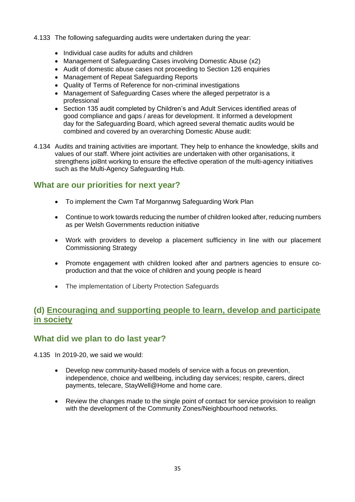#### 4.133 The following safeguarding audits were undertaken during the year:

- Individual case audits for adults and children
- Management of Safeguarding Cases involving Domestic Abuse (x2)
- Audit of domestic abuse cases not proceeding to Section 126 enquiries
- Management of Repeat Safeguarding Reports
- Quality of Terms of Reference for non-criminal investigations
- Management of Safeguarding Cases where the alleged perpetrator is a professional
- Section 135 audit completed by Children's and Adult Services identified areas of good compliance and gaps / areas for development. It informed a development day for the Safeguarding Board, which agreed several thematic audits would be combined and covered by an overarching Domestic Abuse audit:
- 4.134 Audits and training activities are important. They help to enhance the knowledge, skills and values of our staff. Where joint activities are undertaken with other organisations, it strengthens joi8nt working to ensure the effective operation of the multi-agency initiatives such as the Multi-Agency Safeguarding Hub.

# **What are our priorities for next year?**

- To implement the Cwm Taf Morgannwg Safeguarding Work Plan
- Continue to work towards reducing the number of children looked after, reducing numbers as per Welsh Governments reduction initiative
- Work with providers to develop a placement sufficiency in line with our placement Commissioning Strategy
- Promote engagement with children looked after and partners agencies to ensure coproduction and that the voice of children and young people is heard
- The implementation of Liberty Protection Safeguards

# **(d) Encouraging and supporting people to learn, develop and participate in society**

# **What did we plan to do last year?**

4.135 In 2019-20, we said we would:

- Develop new community-based models of service with a focus on prevention, independence, choice and wellbeing, including day services; respite, carers, direct payments, telecare, StayWell@Home and home care.
- Review the changes made to the single point of contact for service provision to realign with the development of the Community Zones/Neighbourhood networks.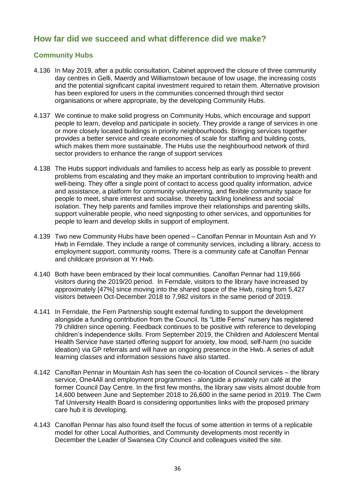# **How far did we succeed and what difference did we make?**

## **Community Hubs**

- 4.136 In May 2019, after a public consultation, Cabinet approved the closure of three community day centres in Gelli, Maerdy and Williamstown because of low usage, the increasing costs and the potential significant capital investment required to retain them. Alternative provision has been explored for users in the communities concerned through third sector organisations or where appropriate, by the developing Community Hubs.
- 4.137 We continue to make solid progress on Community Hubs, which encourage and support people to learn, develop and participate in society. They provide a range of services in one or more closely located buildings in priority neighbourhoods. Bringing services together provides a better service and create economies of scale for staffing and building costs, which makes them more sustainable. The Hubs use the neighbourhood network of third sector providers to enhance the range of support services
- 4.138 The Hubs support individuals and families to access help as early as possible to prevent problems from escalating and they make an important contribution to improving health and well-being. They offer a single point of contact to access good quality information, advice and assistance, a platform for community volunteering, and flexible community space for people to meet, share interest and socialise, thereby tackling loneliness and social isolation. They help parents and families improve their relationships and parenting skills, support vulnerable people, who need signposting to other services, and opportunities for people to learn and develop skills in support of employment.
- 4.139 Two new Community Hubs have been opened Canolfan Pennar in Mountain Ash and Yr Hwb in Ferndale. They include a range of community services, including a library, access to employment support, community rooms. There is a community cafe at Canolfan Pennar and childcare provision at Yr Hwb.
- 4.140 Both have been embraced by their local communities. Canolfan Pennar had 119,666 visitors during the 2019/20 period. In Ferndale, visitors to the library have increased by approximately [47%] since moving into the shared space of the Hwb, rising from 5,427 visitors between Oct-December 2018 to 7,982 visitors in the same period of 2019.
- 4.141 In Ferndale, the Fern Partnership sought external funding to support the development alongside a funding contribution from the Council. Its "Little Ferns" nursery has registered 79 children since opening. Feedback continues to be positive with reference to developing children's independence skills. From September 2019, the Children and Adolescent Mental Health Service have started offering support for anxiety, low mood, self-harm (no suicide ideation) via GP referrals and will have an ongoing presence in the Hwb. A series of adult learning classes and information sessions have also started.
- 4.142 Canolfan Pennar in Mountain Ash has seen the co-location of Council services the library service, One4All and employment programmes - alongside a privately run café at the former Council Day Centre. In the first few months, the library saw visits almost double from 14,600 between June and September 2018 to 26,600 in the same period in 2019. The Cwm Taf University Health Board is considering opportunities links with the proposed primary care hub it is developing.
- 4.143 Canolfan Pennar has also found itself the focus of some attention in terms of a replicable model for other Local Authorities, and Community developments most recently in December the Leader of Swansea City Council and colleagues visited the site.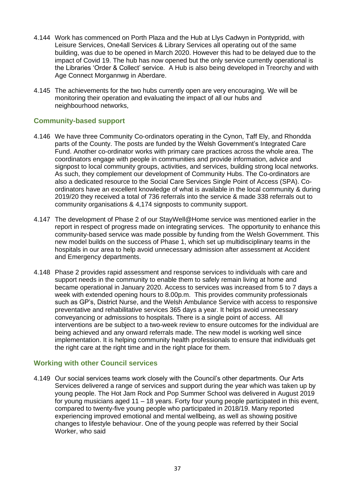- 4.144 Work has commenced on Porth Plaza and the Hub at Llys Cadwyn in Pontypridd, with Leisure Services, One4all Services & Library Services all operating out of the same building, was due to be opened in March 2020. However this had to be delayed due to the impact of Covid 19. The hub has now opened but the only service currently operational is the Libraries 'Order & Collect' service. A Hub is also being developed in Treorchy and with Age Connect Morgannwg in Aberdare.
- 4.145 The achievements for the two hubs currently open are very encouraging. We will be monitoring their operation and evaluating the impact of all our hubs and neighbourhood networks,

## **Community-based support**

- 4.146 We have three Community Co-ordinators operating in the Cynon, Taff Ely, and Rhondda parts of the County. The posts are funded by the Welsh Government's Integrated Care Fund. Another co-ordinator works with primary care practices across the whole area. The coordinators engage with people in communities and provide information, advice and signpost to local community groups, activities, and services, building strong local networks. As such, they complement our development of Community Hubs. The Co-ordinators are also a dedicated resource to the Social Care Services Single Point of Access (SPA). Coordinators have an excellent knowledge of what is available in the local community & during 2019/20 they received a total of 736 referrals into the service & made 338 referrals out to community organisations & 4,174 signposts to community support.
- 4.147 The development of Phase 2 of our StayWell@Home service was mentioned earlier in the report in respect of progress made on integrating services. The opportunity to enhance this community-based service was made possible by funding from the Welsh Government. This new model builds on the success of Phase 1, which set up multidisciplinary teams in the hospitals in our area to help avoid unnecessary admission after assessment at Accident and Emergency departments.
- 4.148 Phase 2 provides rapid assessment and response services to individuals with care and support needs in the community to enable them to safely remain living at home and became operational in January 2020. Access to services was increased from 5 to 7 days a week with extended opening hours to 8.00p.m. This provides community professionals such as GP's, District Nurse, and the Welsh Ambulance Service with access to responsive preventative and rehabilitative services 365 days a year. It helps avoid unnecessary conveyancing or admissions to hospitals. There is a single point of access. All interventions are be subject to a two-week review to ensure outcomes for the individual are being achieved and any onward referrals made. The new model is working well since implementation. It is helping community health professionals to ensure that individuals get the right care at the right time and in the right place for them.

## **Working with other Council services**

4.149 Our social services teams work closely with the Council's other departments. Our Arts Services delivered a range of services and support during the year which was taken up by young people. The Hot Jam Rock and Pop Summer School was delivered in August 2019 for young musicians aged 11 – 18 years. Forty four young people participated in this event, compared to twenty-five young people who participated in 2018/19. Many reported experiencing improved emotional and mental wellbeing, as well as showing positive changes to lifestyle behaviour. One of the young people was referred by their Social Worker, who said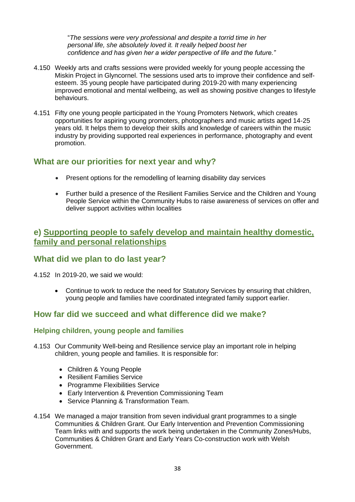"*The sessions were very professional and despite a torrid time in her personal life, she absolutely loved it. It really helped boost her confidence and has given her a wider perspective of life and the future."*

- 4.150 Weekly arts and crafts sessions were provided weekly for young people accessing the Miskin Project in Glyncornel. The sessions used arts to improve their confidence and selfesteem. 35 young people have participated during 2019-20 with many experiencing improved emotional and mental wellbeing, as well as showing positive changes to lifestyle behaviours.
- 4.151 Fifty one young people participated in the Young Promoters Network, which creates opportunities for aspiring young promoters, photographers and music artists aged 14-25 years old. It helps them to develop their skills and knowledge of careers within the music industry by providing supported real experiences in performance, photography and event promotion.

# **What are our priorities for next year and why?**

- Present options for the remodelling of learning disability day services
- Further build a presence of the Resilient Families Service and the Children and Young People Service within the Community Hubs to raise awareness of services on offer and deliver support activities within localities

# **e) Supporting people to safely develop and maintain healthy domestic, family and personal relationships**

# **What did we plan to do last year?**

4.152 In 2019-20, we said we would:

• Continue to work to reduce the need for Statutory Services by ensuring that children, young people and families have coordinated integrated family support earlier.

# **How far did we succeed and what difference did we make?**

## **Helping children, young people and families**

- 4.153 Our Community Well-being and Resilience service play an important role in helping children, young people and families. It is responsible for:
	- Children & Young People
	- Resilient Families Service
	- Programme Flexibilities Service
	- Early Intervention & Prevention Commissioning Team
	- Service Planning & Transformation Team.
- 4.154 We managed a major transition from seven individual grant programmes to a single Communities & Children Grant. Our Early Intervention and Prevention Commissioning Team links with and supports the work being undertaken in the Community Zones/Hubs, Communities & Children Grant and Early Years Co-construction work with Welsh Government.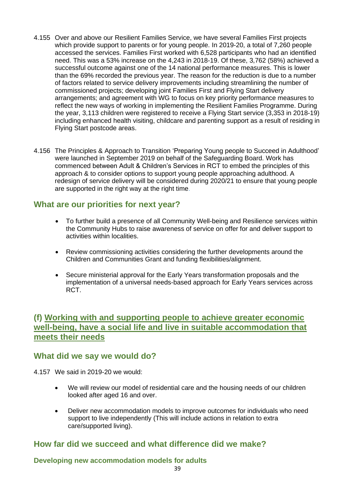- 4.155 Over and above our Resilient Families Service, we have several Families First projects which provide support to parents or for young people. In 2019-20, a total of 7,260 people accessed the services. Families First worked with 6,528 participants who had an identified need. This was a 53% increase on the 4,243 in 2018-19. Of these, 3,762 (58%) achieved a successful outcome against one of the 14 national performance measures. This is lower than the 69% recorded the previous year. The reason for the reduction is due to a number of factors related to service delivery improvements including streamlining the number of commissioned projects; developing joint Families First and Flying Start delivery arrangements; and agreement with WG to focus on key priority performance measures to reflect the new ways of working in implementing the Resilient Families Programme. During the year, 3,113 children were registered to receive a Flying Start service (3,353 in 2018-19) including enhanced health visiting, childcare and parenting support as a result of residing in Flying Start postcode areas.
- 4.156 The Principles & Approach to Transition 'Preparing Young people to Succeed in Adulthood' were launched in September 2019 on behalf of the Safeguarding Board. Work has commenced between Adult & Children's Services in RCT to embed the principles of this approach & to consider options to support young people approaching adulthood. A redesign of service delivery will be considered during 2020/21 to ensure that young people are supported in the right way at the right time.

## **What are our priorities for next year?**

- To further build a presence of all Community Well-being and Resilience services within the Community Hubs to raise awareness of service on offer for and deliver support to activities within localities.
- Review commissioning activities considering the further developments around the Children and Communities Grant and funding flexibilities/alignment.
- Secure ministerial approval for the Early Years transformation proposals and the implementation of a universal needs-based approach for Early Years services across RCT.

# **(f) Working with and supporting people to achieve greater economic well-being, have a social life and live in suitable accommodation that meets their needs**

## **What did we say we would do?**

4.157 We said in 2019-20 we would:

- We will review our model of residential care and the housing needs of our children looked after aged 16 and over.
- Deliver new accommodation models to improve outcomes for individuals who need support to live independently (This will include actions in relation to extra care/supported living).

# **How far did we succeed and what difference did we make?**

## **Developing new accommodation models for adults**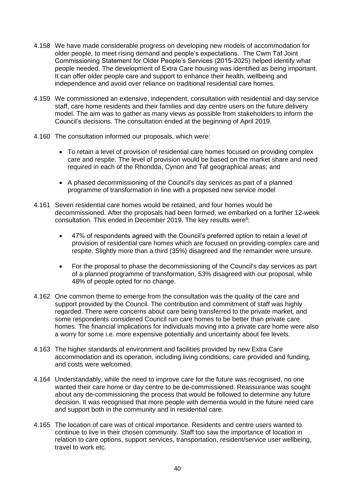- 4.158 We have made considerable progress on developing new models of accommodation for older people, to meet rising demand and people's expectations. The Cwm Taf Joint Commissioning Statement for Older People's Services (2015-2025) helped identify what people needed. The development of Extra Care housing was identified as being important. It can offer older people care and support to enhance their health, wellbeing and independence and avoid over reliance on traditional residential care homes.
- 4.159 We commissioned an extensive, independent, consultation with residential and day service staff, care home residents and their families and day centre users on the future delivery model. The aim was to gather as many views as possible from stakeholders to inform the Council's decisions. The consultation ended at the beginning of April 2019.
- 4.160 The consultation informed our proposals, which were:
	- To retain a level of provision of residential care homes focused on providing complex care and respite. The level of provision would be based on the market share and need required in each of the Rhondda, Cynon and Taf geographical areas; and
	- A phased decommissioning of the Council's day services as part of a planned programme of transformation in line with a proposed new service model
- 4.161 Seven residential care homes would be retained, and four homes would be decommissioned. After the proposals had been formed, we embarked on a further 12-week consultation. This ended in December 2019. The key results were $6$ :
	- 47% of respondents agreed with the Council's preferred option to retain a level of provision of residential care homes which are focused on providing complex care and respite. Slightly more than a third (35%) disagreed and the remainder were unsure.
	- For the proposal to phase the decommissioning of the Council's day services as part of a planned programme of transformation, 53% disagreed with our proposal, while 48% of people opted for no change.
- 4.162 One common theme to emerge from the consultation was the quality of the care and support provided by the Council. The contribution and commitment of staff was highly regarded. There were concerns about care being transferred to the private market, and some respondents considered Council run care homes to be better than private care homes. The financial implications for individuals moving into a private care home were also a worry for some i.e. more expensive potentially and uncertainty about fee levels.
- 4.163 The higher standards of environment and facilities provided by new Extra Care accommodation and its operation, including living conditions, care provided and funding, and costs were welcomed.
- 4.164 Understandably, while the need to improve care for the future was recognised, no one wanted their care home or day centre to be de-commissioned. Reassurance was sought about any de-commissioning the process that would be followed to determine any future decision. It was recognised that more people with dementia would in the future need care and support both in the community and in residential care.
- 4.165 The location of care was of critical importance. Residents and centre users wanted to continue to live in their chosen community. Staff too saw the importance of location in relation to care options, support services, transportation, resident/service user wellbeing, travel to work etc.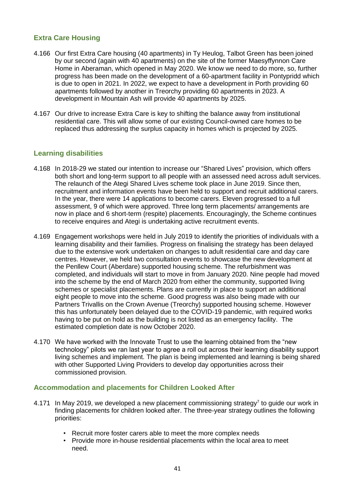## **Extra Care Housing**

- 4.166 Our first Extra Care housing (40 apartments) in Ty Heulog, Talbot Green has been joined by our second (again with 40 apartments) on the site of the former Maesyffynnon Care Home in Aberaman, which opened in May 2020. We know we need to do more, so, further progress has been made on the development of a 60-apartment facility in Pontypridd which is due to open in 2021. In 2022, we expect to have a development in Porth providing 60 apartments followed by another in Treorchy providing 60 apartments in 2023. A development in Mountain Ash will provide 40 apartments by 2025.
- 4.167 Our drive to increase Extra Care is key to shifting the balance away from institutional residential care. This will allow some of our existing Council-owned care homes to be replaced thus addressing the surplus capacity in homes which is projected by 2025.

## **Learning disabilities**

- 4.168 In 2018-29 we stated our intention to increase our "Shared Lives" provision, which offers both short and long-term support to all people with an assessed need across adult services. The relaunch of the Ategi Shared Lives scheme took place in June 2019. Since then, recruitment and information events have been held to support and recruit additional carers. In the year, there were 14 applications to become carers. Eleven progressed to a full assessment, 9 of which were approved. Three long term placements/ arrangements are now in place and 6 short-term (respite) placements. Encouragingly, the Scheme continues to receive enquires and Ategi is undertaking active recruitment events.
- 4.169 Engagement workshops were held in July 2019 to identify the priorities of individuals with a learning disability and their families. Progress on finalising the strategy has been delayed due to the extensive work undertaken on changes to adult residential care and day care centres. However, we held two consultation events to showcase the new development at the Penllew Court (Aberdare) supported housing scheme. The refurbishment was completed, and individuals will start to move in from January 2020. Nine people had moved into the scheme by the end of March 2020 from either the community, supported living schemes or specialist placements. Plans are currently in place to support an additional eight people to move into the scheme. Good progress was also being made with our Partners Trivallis on the Crown Avenue (Treorchy) supported housing scheme. However this has unfortunately been delayed due to the COVID-19 pandemic, with required works having to be put on hold as the building is not listed as an emergency facility. The estimated completion date is now October 2020.
- 4.170 We have worked with the Innovate Trust to use the learning obtained from the "new technology" pilots we ran last year to agree a roll out across their learning disability support living schemes and implement. The plan is being implemented and learning is being shared with other Supported Living Providers to develop day opportunities across their commissioned provision.

#### **Accommodation and placements for Children Looked After**

- 4.171 In May 2019, we developed a new placement commissioning strategy<sup>7</sup> to guide our work in finding placements for children looked after. The three-year strategy outlines the following priorities:
	- Recruit more foster carers able to meet the more complex needs
	- Provide more in-house residential placements within the local area to meet need.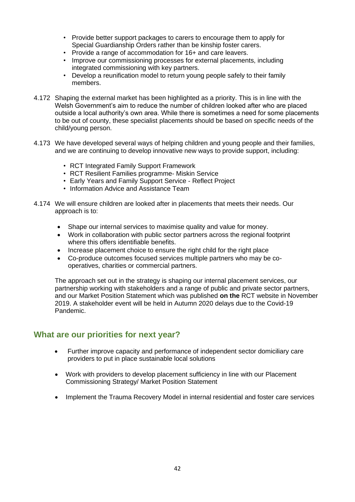- Provide better support packages to carers to encourage them to apply for Special Guardianship Orders rather than be kinship foster carers.
- Provide a range of accommodation for 16+ and care leavers.
- Improve our commissioning processes for external placements, including integrated commissioning with key partners.
- Develop a reunification model to return young people safely to their family members.
- 4.172 Shaping the external market has been highlighted as a priority. This is in line with the Welsh Government's aim to reduce the number of children looked after who are placed outside a local authority's own area. While there is sometimes a need for some placements to be out of county, these specialist placements should be based on specific needs of the child/young person.
- 4.173 We have developed several ways of helping children and young people and their families, and we are continuing to develop innovative new ways to provide support, including:
	- RCT Integrated Family Support Framework
	- RCT Resilient Families programme- Miskin Service
	- Early Years and Family Support Service Reflect Project
	- Information Advice and Assistance Team
- 4.174 We will ensure children are looked after in placements that meets their needs. Our approach is to:
	- Shape our internal services to maximise quality and value for money.
	- Work in collaboration with public sector partners across the regional footprint where this offers identifiable benefits.
	- Increase placement choice to ensure the right child for the right place
	- Co-produce outcomes focused services multiple partners who may be cooperatives, charities or commercial partners.

The approach set out in the strategy is shaping our internal placement services, our partnership working with stakeholders and a range of public and private sector partners, and our Market Position Statement which was published **on the** RCT website in November 2019. A stakeholder event will be held in Autumn 2020 delays due to the Covid-19 Pandemic.

## **What are our priorities for next year?**

- Further improve capacity and performance of independent sector domiciliary care providers to put in place sustainable local solutions
- Work with providers to develop placement sufficiency in line with our Placement Commissioning Strategy/ Market Position Statement
- Implement the Trauma Recovery Model in internal residential and foster care services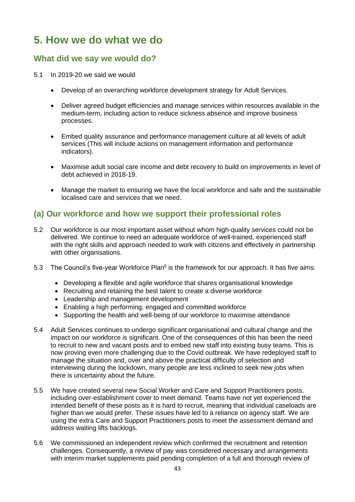# **5. How we do what we do**

# **What did we say we would do?**

- 5.1 In 2019-20 we said we would
	- Develop of an overarching workforce development strategy for Adult Services.
	- Deliver agreed budget efficiencies and manage services within resources available in the medium-term, including action to reduce sickness absence and improve business processes.
	- Embed quality assurance and performance management culture at all levels of adult services (This will include actions on management information and performance indicators).
	- Maximise adult social care income and debt recovery to build on improvements in level of debt achieved in 2018-19.
	- Manage the market to ensuring we have the local workforce and safe and the sustainable localised care and services that we need.

# **(a) Our workforce and how we support their professional roles**

- 5.2 Our workforce is our most important asset without whom high-quality services could not be delivered. We continue to need an adequate workforce of well-trained, experienced staff with the right skills and approach needed to work with citizens and effectively in partnership with other organisations.
- 5.3 The Council's five-year Workforce Plan<sup>8</sup> is the framework for our approach. It has five aims:
	- Developing a flexible and agile workforce that shares organisational knowledge
	- Recruiting and retaining the best talent to create a diverse workforce
	- Leadership and management development
	- Enabling a high performing, engaged and committed workforce
	- Supporting the health and well-being of our workforce to maximise attendance
- 5.4 Adult Services continues to undergo significant organisational and cultural change and the impact on our workforce is significant. One of the consequences of this has been the need to recruit to new and vacant posts and to embed new staff into existing busy teams. This is now proving even more challenging due to the Covid outbreak. We have redeployed staff to manage the situation and, over and above the practical difficulty of selection and interviewing during the lockdown, many people are less inclined to seek new jobs when there is uncertainty about the future.
- 5.5 We have created several new Social Worker and Care and Support Practitioners posts, including over-establishment cover to meet demand. Teams have not yet experienced the intended benefit of these posts as it is hard to recruit, meaning that individual caseloads are higher than we would prefer. These issues have led to a reliance on agency staff. We are using the extra Care and Support Practitioners posts to meet the assessment demand and address waiting lifts backlogs.
- 5.6 We commissioned an independent review which confirmed the recruitment and retention challenges. Consequently, a review of pay was considered necessary and arrangements with interim market supplements paid pending completion of a full and thorough review of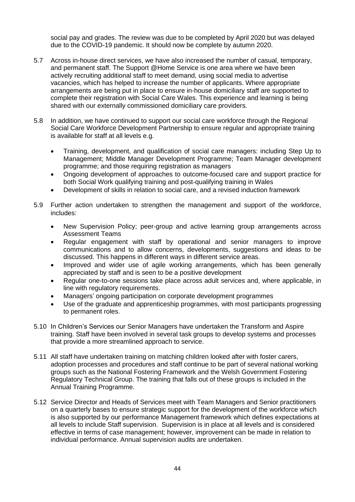social pay and grades. The review was due to be completed by April 2020 but was delayed due to the COVID-19 pandemic. It should now be complete by autumn 2020.

- 5.7 Across in-house direct services, we have also increased the number of casual, temporary, and permanent staff. The Support @Home Service is one area where we have been actively recruiting additional staff to meet demand, using social media to advertise vacancies, which has helped to increase the number of applicants. Where appropriate arrangements are being put in place to ensure in-house domiciliary staff are supported to complete their registration with Social Care Wales. This experience and learning is being shared with our externally commissioned domiciliary care providers.
- 5.8 In addition, we have continued to support our social care workforce through the Regional Social Care Workforce Development Partnership to ensure regular and appropriate training is available for staff at all levels e.g.
	- Training, development, and qualification of social care managers: including Step Up to Management; Middle Manager Development Programme; Team Manager development programme; and those requiring registration as managers
	- Ongoing development of approaches to outcome-focused care and support practice for both Social Work qualifying training and post-qualifying training in Wales
	- Development of skills in relation to social care, and a revised induction framework
- 5.9 Further action undertaken to strengthen the management and support of the workforce, includes:
	- New Supervision Policy; peer-group and active learning group arrangements across Assessment Teams
	- Regular engagement with staff by operational and senior managers to improve communications and to allow concerns, developments, suggestions and ideas to be discussed. This happens in different ways in different service areas.
	- Improved and wider use of agile working arrangements, which has been generally appreciated by staff and is seen to be a positive development
	- Regular one-to-one sessions take place across adult services and, where applicable, in line with regulatory requirements.
	- Managers' ongoing participation on corporate development programmes
	- Use of the graduate and apprenticeship programmes, with most participants progressing to permanent roles.
- 5.10 In Children's Services our Senior Managers have undertaken the Transform and Aspire training. Staff have been involved in several task groups to develop systems and processes that provide a more streamlined approach to service.
- 5.11 All staff have undertaken training on matching children looked after with foster carers, adoption processes and procedures and staff continue to be part of several national working groups such as the National Fostering Framework and the Welsh Government Fostering Regulatory Technical Group. The training that falls out of these groups is included in the Annual Training Programme.
- 5.12 Service Director and Heads of Services meet with Team Managers and Senior practitioners on a quarterly bases to ensure strategic support for the development of the workforce which is also supported by our performance Management framework which defines expectations at all levels to include Staff supervision. Supervision is in place at all levels and is considered effective in terms of case management; however, improvement can be made in relation to individual performance. Annual supervision audits are undertaken.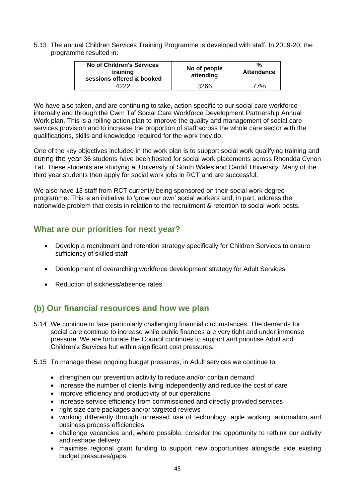5.13 The annual Children Services Training Programme is developed with staff. In 2019-20, the programme resulted in:

| No of Children's Services<br>training<br>sessions offered & booked | No of people<br>attending | %<br><b>Attendance</b> |
|--------------------------------------------------------------------|---------------------------|------------------------|
|                                                                    | 3266                      | 77%                    |

We have also taken, and are continuing to take, action specific to our social care workforce internally and through the Cwm Taf Social Care Workforce Development Partnership Annual Work plan. This is a rolling action plan to improve the quality and management of social care services provision and to increase the proportion of staff across the whole care sector with the qualifications, skills and knowledge required for the work they do.

One of the key objectives included in the work plan is to support social work qualifying training and during the year 36 students have been hosted for social work placements across Rhondda Cynon Taf. These students are studying at University of South Wales and Cardiff University. Many of the third year students then apply for social work jobs in RCT and are successful.

We also have 13 staff from RCT currently being sponsored on their social work degree programme. This is an initiative to 'grow our own' social workers and, in part, address the nationwide problem that exists in relation to the recruitment & retention to social work posts.

# **What are our priorities for next year?**

- Develop a recruitment and retention strategy specifically for Children Services to ensure sufficiency of skilled staff
- Development of overarching workforce development strategy for Adult Services
- Reduction of sickness/absence rates

# **(b) Our financial resources and how we plan**

- 5.14 We continue to face particularly challenging financial circumstances. The demands for social care continue to increase while public finances are very tight and under immense pressure. We are fortunate the Council continues to support and prioritise Adult and Children's Services but within significant cost pressures.
- 5.15 To manage these ongoing budget pressures, in Adult services we continue to:
	- strengthen our prevention activity to reduce and/or contain demand
	- increase the number of clients living independently and reduce the cost of care
	- improve efficiency and productivity of our operations
	- increase service efficiency from commissioned and directly provided services
	- right size care packages and/or targeted reviews
	- working differently through increased use of technology, agile working, automation and business process efficiencies
	- challenge vacancies and, where possible, consider the opportunity to rethink our activity and reshape delivery
	- maximise regional grant funding to support new opportunities alongside side existing budget pressures/gaps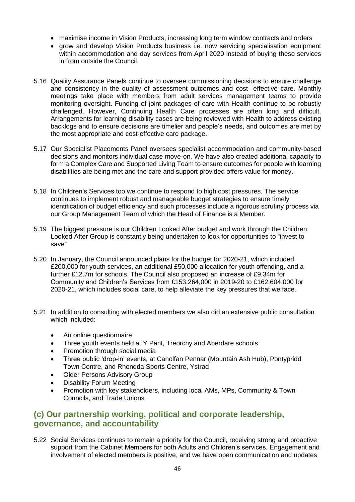- maximise income in Vision Products, increasing long term window contracts and orders
- grow and develop Vision Products business i.e. now servicing specialisation equipment within accommodation and day services from April 2020 instead of buying these services in from outside the Council.
- 5.16 Quality Assurance Panels continue to oversee commissioning decisions to ensure challenge and consistency in the quality of assessment outcomes and cost- effective care. Monthly meetings take place with members from adult services management teams to provide monitoring oversight. Funding of joint packages of care with Health continue to be robustly challenged. However, Continuing Health Care processes are often long and difficult. Arrangements for learning disability cases are being reviewed with Health to address existing backlogs and to ensure decisions are timelier and people's needs, and outcomes are met by the most appropriate and cost-effective care package.
- 5.17 Our Specialist Placements Panel oversees specialist accommodation and community-based decisions and monitors individual case move-on. We have also created additional capacity to form a Complex Care and Supported Living Team to ensure outcomes for people with learning disabilities are being met and the care and support provided offers value for money.
- 5.18 In Children's Services too we continue to respond to high cost pressures. The service continues to implement robust and manageable budget strategies to ensure timely identification of budget efficiency and such processes include a rigorous scrutiny process via our Group Management Team of which the Head of Finance is a Member.
- 5.19 The biggest pressure is our Children Looked After budget and work through the Children Looked After Group is constantly being undertaken to look for opportunities to "invest to save"
- 5.20 In January, the Council announced plans for the budget for 2020-21, which included £200,000 for youth services, an additional £50,000 allocation for youth offending, and a further £12.7m for schools. The Council also proposed an increase of £9.34m for Community and Children's Services from £153,264,000 in 2019-20 to £162,604,000 for 2020-21, which includes social care, to help alleviate the key pressures that we face.
- 5.21 In addition to consulting with elected members we also did an extensive public consultation which included:
	- An online questionnaire
	- Three youth events held at Y Pant, Treorchy and Aberdare schools
	- Promotion through social media
	- Three public 'drop-in' events, at Canolfan Pennar (Mountain Ash Hub), Pontypridd Town Centre, and Rhondda Sports Centre, Ystrad
	- Older Persons Advisory Group
	- Disability Forum Meeting
	- Promotion with key stakeholders, including local AMs, MPs, Community & Town Councils, and Trade Unions

# **(c) Our partnership working, political and corporate leadership, governance, and accountability**

5.22 Social Services continues to remain a priority for the Council, receiving strong and proactive support from the Cabinet Members for both Adults and Children's services. Engagement and involvement of elected members is positive, and we have open communication and updates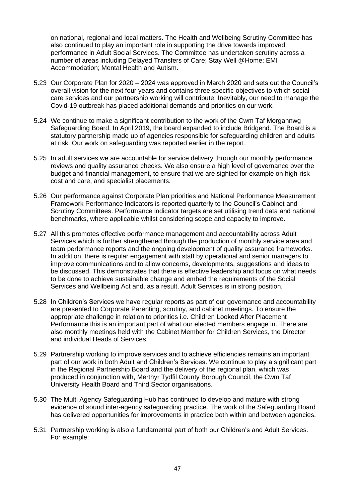on national, regional and local matters. The Health and Wellbeing Scrutiny Committee has also continued to play an important role in supporting the drive towards improved performance in Adult Social Services. The Committee has undertaken scrutiny across a number of areas including Delayed Transfers of Care; Stay Well @Home; EMI Accommodation; Mental Health and Autism.

- 5.23 Our Corporate Plan for 2020 2024 was approved in March 2020 and sets out the Council's overall vision for the next four years and contains three specific objectives to which social care services and our partnership working will contribute. Inevitably, our need to manage the Covid-19 outbreak has placed additional demands and priorities on our work.
- 5.24 We continue to make a significant contribution to the work of the Cwm Taf Morgannwg Safeguarding Board. In April 2019, the board expanded to include Bridgend. The Board is a statutory partnership made up of agencies responsible for safeguarding children and adults at risk. Our work on safeguarding was reported earlier in the report.
- 5.25 In adult services we are accountable for service delivery through our monthly performance reviews and quality assurance checks. We also ensure a high level of governance over the budget and financial management, to ensure that we are sighted for example on high-risk cost and care, and specialist placements.
- 5.26 Our performance against Corporate Plan priorities and National Performance Measurement Framework Performance Indicators is reported quarterly to the Council's Cabinet and Scrutiny Committees. Performance indicator targets are set utilising trend data and national benchmarks, where applicable whilst considering scope and capacity to improve.
- 5.27 All this promotes effective performance management and accountability across Adult Services which is further strengthened through the production of monthly service area and team performance reports and the ongoing development of quality assurance frameworks. In addition, there is regular engagement with staff by operational and senior managers to improve communications and to allow concerns, developments, suggestions and ideas to be discussed. This demonstrates that there is effective leadership and focus on what needs to be done to achieve sustainable change and embed the requirements of the Social Services and Wellbeing Act and, as a result, Adult Services is in strong position.
- 5.28 In Children's Services we have regular reports as part of our governance and accountability are presented to Corporate Parenting, scrutiny, and cabinet meetings. To ensure the appropriate challenge in relation to priorities i.e. Children Looked After Placement Performance this is an important part of what our elected members engage in. There are also monthly meetings held with the Cabinet Member for Children Services, the Director and individual Heads of Services.
- 5.29 Partnership working to improve services and to achieve efficiencies remains an important part of our work in both Adult and Children's Services. We continue to play a significant part in the Regional Partnership Board and the delivery of the regional plan, which was produced in conjunction with, Merthyr Tydfil County Borough Council, the Cwm Taf University Health Board and Third Sector organisations.
- 5.30 The Multi Agency Safeguarding Hub has continued to develop and mature with strong evidence of sound inter-agency safeguarding practice. The work of the Safeguarding Board has delivered opportunities for improvements in practice both within and between agencies.
- 5.31 Partnership working is also a fundamental part of both our Children's and Adult Services. For example: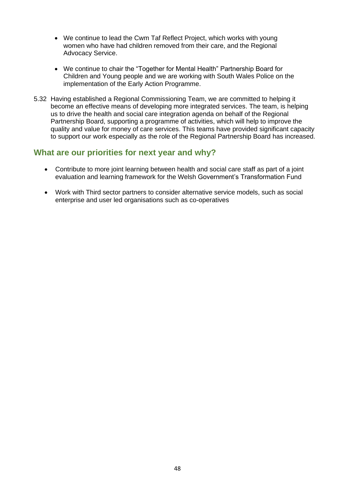- We continue to lead the Cwm Taf Reflect Project, which works with young women who have had children removed from their care, and the Regional Advocacy Service.
- We continue to chair the "Together for Mental Health" Partnership Board for Children and Young people and we are working with South Wales Police on the implementation of the Early Action Programme.
- 5.32 Having established a Regional Commissioning Team, we are committed to helping it become an effective means of developing more integrated services. The team, is helping us to drive the health and social care integration agenda on behalf of the Regional Partnership Board, supporting a programme of activities, which will help to improve the quality and value for money of care services. This teams have provided significant capacity to support our work especially as the role of the Regional Partnership Board has increased.

## **What are our priorities for next year and why?**

- Contribute to more joint learning between health and social care staff as part of a joint evaluation and learning framework for the Welsh Government's Transformation Fund
- Work with Third sector partners to consider alternative service models, such as social enterprise and user led organisations such as co-operatives